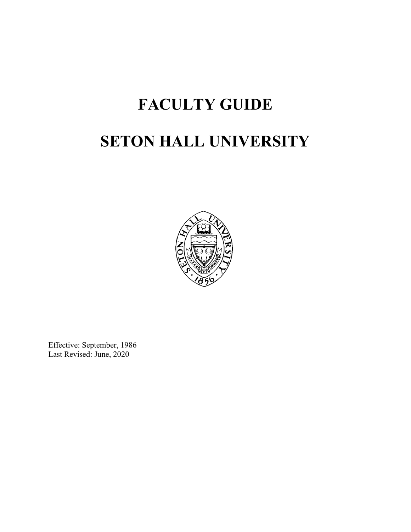# **FACULTY GUIDE SETON HALL UNIVERSITY**



Effective: September, 1986 Last Revised: June, 2020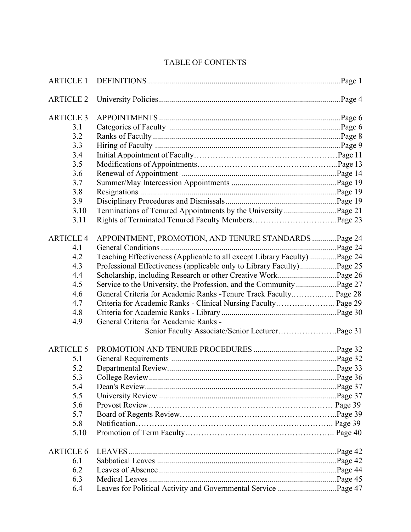# TABLE OF CONTENTS

| <b>ARTICLE 2</b> |                                                                            |  |
|------------------|----------------------------------------------------------------------------|--|
| <b>ARTICLE 3</b> |                                                                            |  |
| 3.1              |                                                                            |  |
| 3.2              |                                                                            |  |
| 3.3              |                                                                            |  |
| 3.4              |                                                                            |  |
| 3.5              |                                                                            |  |
| 3.6              |                                                                            |  |
| 3.7              |                                                                            |  |
| 3.8              |                                                                            |  |
| 3.9              |                                                                            |  |
| 3.10             |                                                                            |  |
| 3.11             |                                                                            |  |
| <b>ARTICLE 4</b> | APPOINTMENT, PROMOTION, AND TENURE STANDARDS  Page 24                      |  |
| 4.1              |                                                                            |  |
| 4.2              | Teaching Effectiveness (Applicable to all except Library Faculty)  Page 24 |  |
| 4.3              |                                                                            |  |
| 4.4              |                                                                            |  |
| 4.5              |                                                                            |  |
| 4.6              | General Criteria for Academic Ranks - Tenure Track Faculty Page 28         |  |
| 4.7              |                                                                            |  |
| 4.8              |                                                                            |  |
| 4.9              | General Criteria for Academic Ranks -                                      |  |
|                  |                                                                            |  |
| <b>ARTICLE 5</b> |                                                                            |  |
| 5.1              |                                                                            |  |
| 5.2              |                                                                            |  |
| 5.3              |                                                                            |  |
| 5.4              |                                                                            |  |
| 5.5              |                                                                            |  |
| 5.6              |                                                                            |  |
| 5.7              |                                                                            |  |
| 5.8              |                                                                            |  |
| 5.10             |                                                                            |  |
| <b>ARTICLE 6</b> |                                                                            |  |
| 6.1              |                                                                            |  |
| 6.2              |                                                                            |  |
| 6.3              |                                                                            |  |
| 6.4              |                                                                            |  |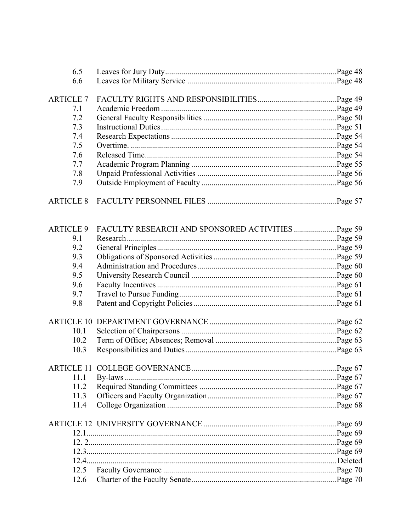| 6.5<br>6.6<br><b>ARTICLE 7</b><br>7.1<br>7.2<br>7.3<br>7.4<br>7.5<br>7.6<br>7.7<br>7.8<br>7.9<br><b>ARTICLE 8</b><br><b>ARTICLE 9</b><br>FACULTY RESEARCH AND SPONSORED ACTIVITIES  Page 59<br>9.1<br>9.2<br>9.3<br>9.4<br>9.5<br>9.6<br>9.7<br>9.8<br>10.1<br>10.2<br>10.3<br>11.1<br>11.2<br>11.3<br>11.4<br>12.5<br>12.6 |  |  |
|-----------------------------------------------------------------------------------------------------------------------------------------------------------------------------------------------------------------------------------------------------------------------------------------------------------------------------|--|--|
|                                                                                                                                                                                                                                                                                                                             |  |  |
|                                                                                                                                                                                                                                                                                                                             |  |  |
|                                                                                                                                                                                                                                                                                                                             |  |  |
|                                                                                                                                                                                                                                                                                                                             |  |  |
|                                                                                                                                                                                                                                                                                                                             |  |  |
|                                                                                                                                                                                                                                                                                                                             |  |  |
|                                                                                                                                                                                                                                                                                                                             |  |  |
|                                                                                                                                                                                                                                                                                                                             |  |  |
|                                                                                                                                                                                                                                                                                                                             |  |  |
|                                                                                                                                                                                                                                                                                                                             |  |  |
|                                                                                                                                                                                                                                                                                                                             |  |  |
|                                                                                                                                                                                                                                                                                                                             |  |  |
|                                                                                                                                                                                                                                                                                                                             |  |  |
|                                                                                                                                                                                                                                                                                                                             |  |  |
|                                                                                                                                                                                                                                                                                                                             |  |  |
|                                                                                                                                                                                                                                                                                                                             |  |  |
|                                                                                                                                                                                                                                                                                                                             |  |  |
|                                                                                                                                                                                                                                                                                                                             |  |  |
|                                                                                                                                                                                                                                                                                                                             |  |  |
|                                                                                                                                                                                                                                                                                                                             |  |  |
|                                                                                                                                                                                                                                                                                                                             |  |  |
|                                                                                                                                                                                                                                                                                                                             |  |  |
|                                                                                                                                                                                                                                                                                                                             |  |  |
|                                                                                                                                                                                                                                                                                                                             |  |  |
|                                                                                                                                                                                                                                                                                                                             |  |  |
|                                                                                                                                                                                                                                                                                                                             |  |  |
|                                                                                                                                                                                                                                                                                                                             |  |  |
|                                                                                                                                                                                                                                                                                                                             |  |  |
|                                                                                                                                                                                                                                                                                                                             |  |  |
|                                                                                                                                                                                                                                                                                                                             |  |  |
|                                                                                                                                                                                                                                                                                                                             |  |  |
|                                                                                                                                                                                                                                                                                                                             |  |  |
|                                                                                                                                                                                                                                                                                                                             |  |  |
|                                                                                                                                                                                                                                                                                                                             |  |  |
|                                                                                                                                                                                                                                                                                                                             |  |  |
|                                                                                                                                                                                                                                                                                                                             |  |  |
|                                                                                                                                                                                                                                                                                                                             |  |  |
|                                                                                                                                                                                                                                                                                                                             |  |  |
|                                                                                                                                                                                                                                                                                                                             |  |  |
|                                                                                                                                                                                                                                                                                                                             |  |  |
|                                                                                                                                                                                                                                                                                                                             |  |  |
|                                                                                                                                                                                                                                                                                                                             |  |  |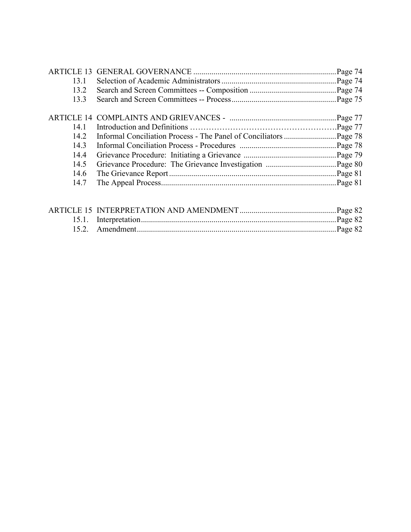|      | Page 74 |
|------|---------|
| 13.1 |         |
| 13.2 |         |
| 13.3 |         |
|      |         |
|      |         |
| 14 1 |         |
| 14.2 |         |
| 14.3 |         |
| 14.4 |         |
| 14.5 |         |
| 14.6 |         |
| 14.7 |         |
|      |         |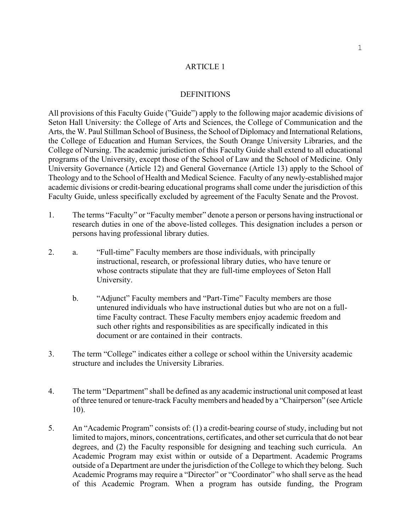#### ARTICLE 1

#### **DEFINITIONS**

All provisions of this Faculty Guide ("Guide") apply to the following major academic divisions of Seton Hall University: the College of Arts and Sciences, the College of Communication and the Arts, the W. Paul Stillman School of Business, the School of Diplomacy and International Relations, the College of Education and Human Services, the South Orange University Libraries, and the College of Nursing. The academic jurisdiction of this Faculty Guide shall extend to all educational programs of the University, except those of the School of Law and the School of Medicine. Only University Governance (Article 12) and General Governance (Article 13) apply to the School of Theology and to the School of Health and Medical Science. Faculty of any newly-established major academic divisions or credit-bearing educational programs shall come under the jurisdiction of this Faculty Guide, unless specifically excluded by agreement of the Faculty Senate and the Provost.

- 1. The terms "Faculty" or "Faculty member" denote a person or persons having instructional or research duties in one of the above-listed colleges. This designation includes a person or persons having professional library duties.
- 2. a. <sup>4</sup>Full-time<sup>3</sup> Faculty members are those individuals, with principally instructional, research, or professional library duties, who have tenure or whose contracts stipulate that they are full-time employees of Seton Hall University.
	- b. "Adjunct" Faculty members and "Part-Time" Faculty members are those untenured individuals who have instructional duties but who are not on a fulltime Faculty contract. These Faculty members enjoy academic freedom and such other rights and responsibilities as are specifically indicated in this document or are contained in their contracts.
- 3. The term "College" indicates either a college or school within the University academic structure and includes the University Libraries.
- 4. The term "Department" shall be defined as any academic instructional unit composed at least of three tenured or tenure-track Faculty members and headed by a "Chairperson" (see Article 10).
- 5. An "Academic Program" consists of: (1) a credit-bearing course of study, including but not limited to majors, minors, concentrations, certificates, and other set curricula that do not bear degrees, and (2) the Faculty responsible for designing and teaching such curricula. An Academic Program may exist within or outside of a Department. Academic Programs outside of a Department are under the jurisdiction of the College to which they belong. Such Academic Programs may require a "Director" or "Coordinator" who shall serve as the head of this Academic Program. When a program has outside funding, the Program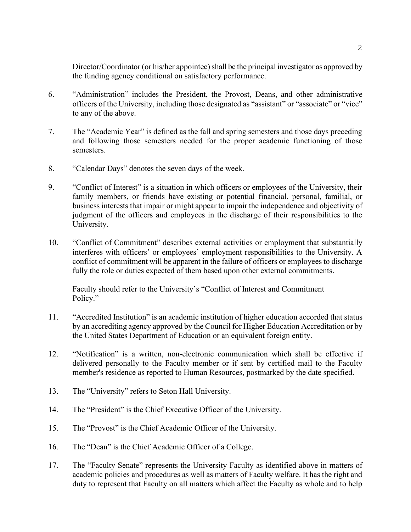Director/Coordinator (or his/her appointee) shall be the principal investigator as approved by the funding agency conditional on satisfactory performance.

- 6. ³Administration´ includes the President, the Provost, Deans, and other administrative officers of the University, including those designated as "assistant" or "associate" or "vice" to any of the above.
- 7. The "Academic Year" is defined as the fall and spring semesters and those days preceding and following those semesters needed for the proper academic functioning of those semesters.
- 8. **Calendar Days**" denotes the seven days of the week.
- 9. "Conflict of Interest" is a situation in which officers or employees of the University, their family members, or friends have existing or potential financial, personal, familial, or business interests that impair or might appear to impair the independence and objectivity of judgment of the officers and employees in the discharge of their responsibilities to the University.
- 10. "Conflict of Commitment" describes external activities or employment that substantially interferes with officers' or employees' employment responsibilities to the University. A conflict of commitment will be apparent in the failure of officers or employees to discharge fully the role or duties expected of them based upon other external commitments.

Faculty should refer to the University's "Conflict of Interest and Commitment Policy."

- 11. "Accredited Institution" is an academic institution of higher education accorded that status by an accrediting agency approved by the Council for Higher Education Accreditation or by the United States Department of Education or an equivalent foreign entity.
- 12. "Notification" is a written, non-electronic communication which shall be effective if delivered personally to the Faculty member or if sent by certified mail to the Faculty member's residence as reported to Human Resources, postmarked by the date specified.
- 13. The "University" refers to Seton Hall University.
- 14. The "President" is the Chief Executive Officer of the University.
- 15. The "Provost" is the Chief Academic Officer of the University.
- 16. The "Dean" is the Chief Academic Officer of a College.
- 17. The "Faculty Senate" represents the University Faculty as identified above in matters of academic policies and procedures as well as matters of Faculty welfare. It has the right and duty to represent that Faculty on all matters which affect the Faculty as whole and to help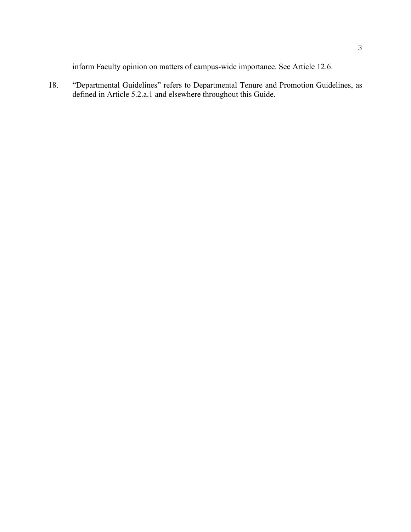inform Faculty opinion on matters of campus-wide importance. See Article 12.6.

18. ³Departmental Guidelines´ refers to Departmental Tenure and Promotion Guidelines, as defined in Article 5.2.a.1 and elsewhere throughout this Guide.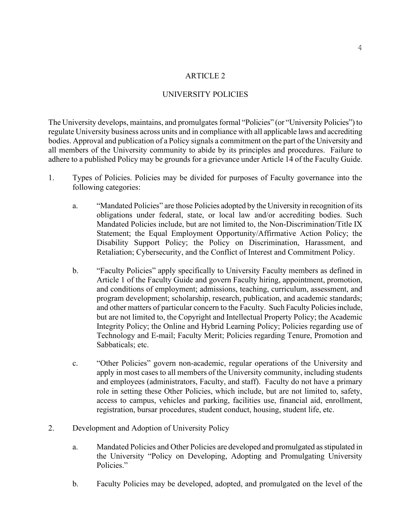#### ARTICLE 2

#### UNIVERSITY POLICIES

The University develops, maintains, and promulgates formal "Policies" (or "University Policies") to regulate University business across units and in compliance with all applicable laws and accrediting bodies. Approval and publication of a Policy signals a commitment on the part of the University and all members of the University community to abide by its principles and procedures. Failure to adhere to a published Policy may be grounds for a grievance under Article 14 of the Faculty Guide.

- 1. Types of Policies. Policies may be divided for purposes of Faculty governance into the following categories:
	- a. "Mandated Policies" are those Policies adopted by the University in recognition of its obligations under federal, state, or local law and/or accrediting bodies. Such Mandated Policies include, but are not limited to, the Non-Discrimination/Title IX Statement; the Equal Employment Opportunity/Affirmative Action Policy; the Disability Support Policy; the Policy on Discrimination, Harassment, and Retaliation; Cybersecurity, and the Conflict of Interest and Commitment Policy.
	- b. **The "Faculty Policies" apply specifically to University Faculty members as defined in** Article 1 of the Faculty Guide and govern Faculty hiring, appointment, promotion, and conditions of employment; admissions, teaching, curriculum, assessment, and program development; scholarship, research, publication, and academic standards; and other matters of particular concern to the Faculty. Such Faculty Policies include, but are not limited to, the Copyright and Intellectual Property Policy; the Academic Integrity Policy; the Online and Hybrid Learning Policy; Policies regarding use of Technology and E-mail; Faculty Merit; Policies regarding Tenure, Promotion and Sabbaticals; etc.
	- c. "Other Policies" govern non-academic, regular operations of the University and apply in most cases to all members of the University community, including students and employees (administrators, Faculty, and staff). Faculty do not have a primary role in setting these Other Policies, which include, but are not limited to, safety, access to campus, vehicles and parking, facilities use, financial aid, enrollment, registration, bursar procedures, student conduct, housing, student life, etc.
- 2. Development and Adoption of University Policy
	- a. Mandated Policies and Other Policies are developed and promulgated as stipulated in the University "Policy on Developing, Adopting and Promulgating University Policies."
	- b. Faculty Policies may be developed, adopted, and promulgated on the level of the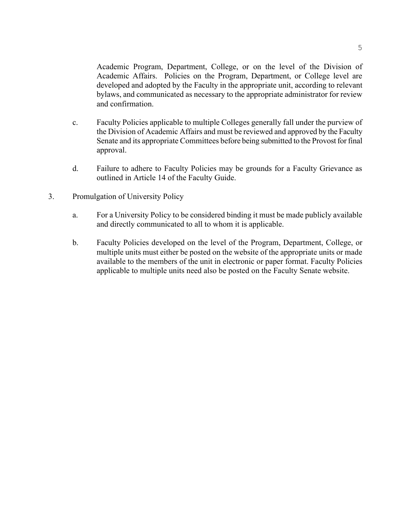Academic Program, Department, College, or on the level of the Division of Academic Affairs. Policies on the Program, Department, or College level are developed and adopted by the Faculty in the appropriate unit, according to relevant bylaws, and communicated as necessary to the appropriate administrator for review and confirmation.

- c. Faculty Policies applicable to multiple Colleges generally fall under the purview of the Division of Academic Affairs and must be reviewed and approved by the Faculty Senate and its appropriate Committees before being submitted to the Provost for final approval.
- d. Failure to adhere to Faculty Policies may be grounds for a Faculty Grievance as outlined in Article 14 of the Faculty Guide.
- 3. Promulgation of University Policy
	- a. For a University Policy to be considered binding it must be made publicly available and directly communicated to all to whom it is applicable.
	- b. Faculty Policies developed on the level of the Program, Department, College, or multiple units must either be posted on the website of the appropriate units or made available to the members of the unit in electronic or paper format. Faculty Policies applicable to multiple units need also be posted on the Faculty Senate website.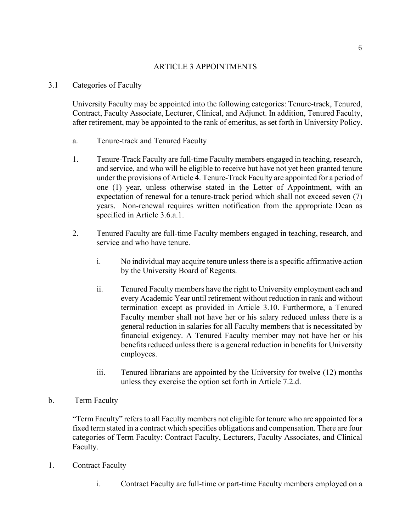# ARTICLE 3 APPOINTMENTS

### 3.1 Categories of Faculty

University Faculty may be appointed into the following categories: Tenure-track, Tenured, Contract, Faculty Associate, Lecturer, Clinical, and Adjunct. In addition, Tenured Faculty, after retirement, may be appointed to the rank of emeritus, as set forth in University Policy.

- a. Tenure-track and Tenured Faculty
- 1. Tenure-Track Faculty are full-time Faculty members engaged in teaching, research, and service, and who will be eligible to receive but have not yet been granted tenure under the provisions of Article 4. Tenure-Track Faculty are appointed for a period of one (1) year, unless otherwise stated in the Letter of Appointment, with an expectation of renewal for a tenure-track period which shall not exceed seven (7) years. Non-renewal requires written notification from the appropriate Dean as specified in Article 3.6.a.1.
- 2. Tenured Faculty are full-time Faculty members engaged in teaching, research, and service and who have tenure.
	- i. No individual may acquire tenure unless there is a specific affirmative action by the University Board of Regents.
	- ii. Tenured Faculty members have the right to University employment each and every Academic Year until retirement without reduction in rank and without termination except as provided in Article 3.10. Furthermore, a Tenured Faculty member shall not have her or his salary reduced unless there is a general reduction in salaries for all Faculty members that is necessitated by financial exigency. A Tenured Faculty member may not have her or his benefits reduced unless there is a general reduction in benefits for University employees.
	- iii. Tenured librarians are appointed by the University for twelve (12) months unless they exercise the option set forth in Article 7.2.d.

# b. Term Faculty

³Term Faculty´ refers to all Faculty members not eligible for tenure who are appointed for a fixed term stated in a contract which specifies obligations and compensation. There are four categories of Term Faculty: Contract Faculty, Lecturers, Faculty Associates, and Clinical Faculty.

- 1. Contract Faculty
	- i. Contract Faculty are full-time or part-time Faculty members employed on a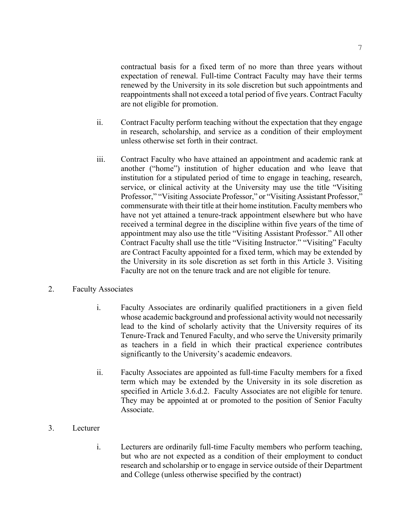contractual basis for a fixed term of no more than three years without expectation of renewal. Full-time Contract Faculty may have their terms renewed by the University in its sole discretion but such appointments and reappointments shall not exceed a total period of five years. Contract Faculty are not eligible for promotion.

- ii. Contract Faculty perform teaching without the expectation that they engage in research, scholarship, and service as a condition of their employment unless otherwise set forth in their contract.
- iii. Contract Faculty who have attained an appointment and academic rank at another ("home") institution of higher education and who leave that institution for a stipulated period of time to engage in teaching, research, service, or clinical activity at the University may use the title "Visiting" Professor," "Visiting Associate Professor," or "Visiting Assistant Professor," commensurate with their title at their home institution. Faculty members who have not yet attained a tenure-track appointment elsewhere but who have received a terminal degree in the discipline within five years of the time of appointment may also use the title "Visiting Assistant Professor." All other Contract Faculty shall use the title "Visiting Instructor." "Visiting" Faculty are Contract Faculty appointed for a fixed term, which may be extended by the University in its sole discretion as set forth in this Article 3. Visiting Faculty are not on the tenure track and are not eligible for tenure.

### 2. Faculty Associates

- i. Faculty Associates are ordinarily qualified practitioners in a given field whose academic background and professional activity would not necessarily lead to the kind of scholarly activity that the University requires of its Tenure-Track and Tenured Faculty, and who serve the University primarily as teachers in a field in which their practical experience contributes significantly to the University's academic endeavors.
- ii. Faculty Associates are appointed as full-time Faculty members for a fixed term which may be extended by the University in its sole discretion as specified in Article 3.6.d.2. Faculty Associates are not eligible for tenure. They may be appointed at or promoted to the position of Senior Faculty Associate.
- 3. Lecturer
	- i. Lecturers are ordinarily full-time Faculty members who perform teaching, but who are not expected as a condition of their employment to conduct research and scholarship or to engage in service outside of their Department and College (unless otherwise specified by the contract)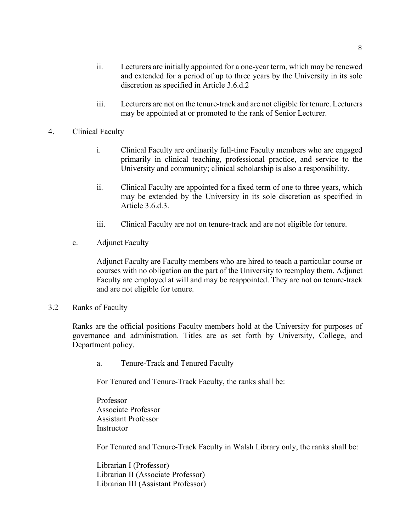- iii. Lecturers are not on the tenure-track and are not eligible for tenure. Lecturers may be appointed at or promoted to the rank of Senior Lecturer.
- 4. Clinical Faculty
	- i. Clinical Faculty are ordinarily full-time Faculty members who are engaged primarily in clinical teaching, professional practice, and service to the University and community; clinical scholarship is also a responsibility.
	- ii. Clinical Faculty are appointed for a fixed term of one to three years, which may be extended by the University in its sole discretion as specified in Article 3.6.d.3.
	- iii. Clinical Faculty are not on tenure-track and are not eligible for tenure.
	- c. Adjunct Faculty

Adjunct Faculty are Faculty members who are hired to teach a particular course or courses with no obligation on the part of the University to reemploy them. Adjunct Faculty are employed at will and may be reappointed. They are not on tenure-track and are not eligible for tenure.

3.2 Ranks of Faculty

Ranks are the official positions Faculty members hold at the University for purposes of governance and administration. Titles are as set forth by University, College, and Department policy.

a. Tenure-Track and Tenured Faculty

For Tenured and Tenure-Track Faculty, the ranks shall be:

Professor Associate Professor Assistant Professor **Instructor** 

For Tenured and Tenure-Track Faculty in Walsh Library only, the ranks shall be:

Librarian I (Professor) Librarian II (Associate Professor) Librarian III (Assistant Professor)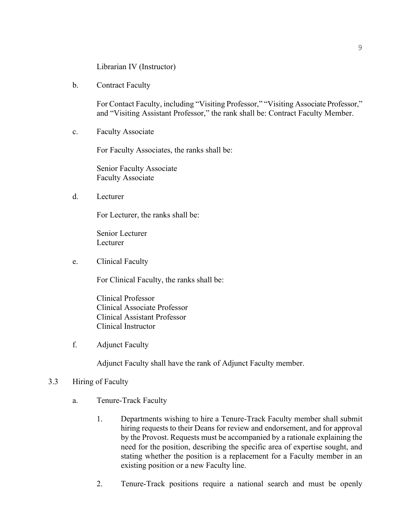Librarian IV (Instructor)

b. Contract Faculty

For Contact Faculty, including "Visiting Professor," "Visiting Associate Professor," and "Visiting Assistant Professor," the rank shall be: Contract Faculty Member.

c. Faculty Associate

For Faculty Associates, the ranks shall be:

Senior Faculty Associate Faculty Associate

d. Lecturer

For Lecturer, the ranks shall be:

Senior Lecturer Lecturer

e. Clinical Faculty

For Clinical Faculty, the ranks shall be:

Clinical Professor Clinical Associate Professor Clinical Assistant Professor Clinical Instructor

f. Adjunct Faculty

Adjunct Faculty shall have the rank of Adjunct Faculty member.

### 3.3 Hiring of Faculty

- a. Tenure-Track Faculty
	- 1. Departments wishing to hire a Tenure-Track Faculty member shall submit hiring requests to their Deans for review and endorsement, and for approval by the Provost. Requests must be accompanied by a rationale explaining the need for the position, describing the specific area of expertise sought, and stating whether the position is a replacement for a Faculty member in an existing position or a new Faculty line.
	- 2. Tenure-Track positions require a national search and must be openly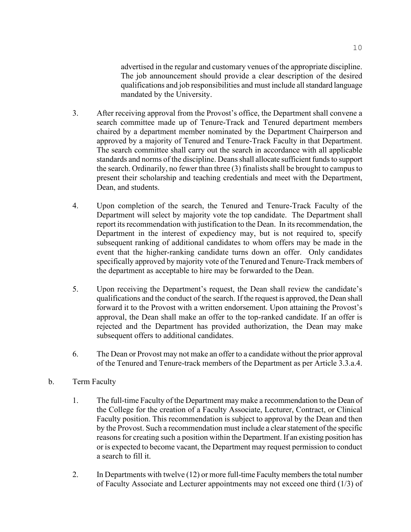advertised in the regular and customary venues of the appropriate discipline. The job announcement should provide a clear description of the desired qualifications and job responsibilities and must include all standard language mandated by the University.

- 3. After receiving approval from the Provost's office, the Department shall convene a search committee made up of Tenure-Track and Tenured department members chaired by a department member nominated by the Department Chairperson and approved by a majority of Tenured and Tenure-Track Faculty in that Department. The search committee shall carry out the search in accordance with all applicable standards and norms of the discipline. Deans shall allocate sufficient funds to support the search. Ordinarily, no fewer than three (3) finalists shall be brought to campus to present their scholarship and teaching credentials and meet with the Department, Dean, and students.
- 4. Upon completion of the search, the Tenured and Tenure-Track Faculty of the Department will select by majority vote the top candidate. The Department shall report its recommendation with justification to the Dean. In its recommendation, the Department in the interest of expediency may, but is not required to, specify subsequent ranking of additional candidates to whom offers may be made in the event that the higher-ranking candidate turns down an offer. Only candidates specifically approved by majority vote of the Tenured and Tenure-Track members of the department as acceptable to hire may be forwarded to the Dean.
- 5. Upon receiving the Department's request, the Dean shall review the candidate's qualifications and the conduct of the search. If the request is approved, the Dean shall forward it to the Provost with a written endorsement. Upon attaining the Provost's approval, the Dean shall make an offer to the top-ranked candidate. If an offer is rejected and the Department has provided authorization, the Dean may make subsequent offers to additional candidates.
- 6. The Dean or Provost may not make an offer to a candidate without the prior approval of the Tenured and Tenure-track members of the Department as per Article 3.3.a.4.
- b. Term Faculty
	- 1. The full-time Faculty of the Department may make a recommendation to the Dean of the College for the creation of a Faculty Associate, Lecturer, Contract, or Clinical Faculty position. This recommendation is subject to approval by the Dean and then by the Provost. Such a recommendation must include a clear statement of the specific reasons for creating such a position within the Department. If an existing position has or is expected to become vacant, the Department may request permission to conduct a search to fill it.
	- 2. In Departments with twelve (12) or more full-time Faculty members the total number of Faculty Associate and Lecturer appointments may not exceed one third (1/3) of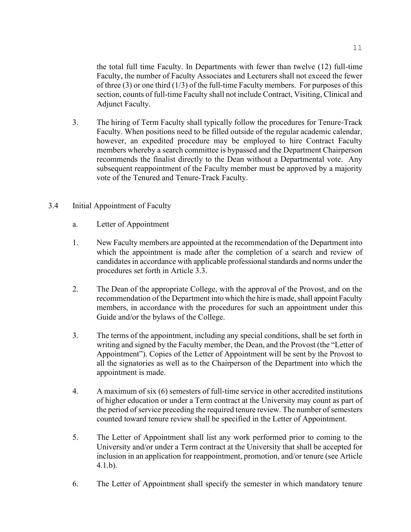the total full time Faculty. In Departments with fewer than twelve (12) full-time Faculty, the number of Faculty Associates and Lecturers shall not exceed the fewer of three  $(3)$  or one third  $(1/3)$  of the full-time Faculty members. For purposes of this section, counts of full-time Faculty shall not include Contract, Visiting, Clinical and Adjunct Faculty.

- 3. The hiring of Term Faculty shall typically follow the procedures for Tenure-Track Faculty. When positions need to be filled outside of the regular academic calendar, however, an expedited procedure may be employed to hire Contract Faculty members whereby a search committee is bypassed and the Department Chairperson recommends the finalist directly to the Dean without a Departmental vote. Any subsequent reappointment of the Faculty member must be approved by a majority vote of the Tenured and Tenure-Track Faculty.
- 3.4 Initial Appointment of Faculty
	- a. Letter of Appointment
	- 1. New Faculty members are appointed at the recommendation of the Department into which the appointment is made after the completion of a search and review of candidates in accordance with applicable professional standards and norms under the procedures set forth in Article 3.3.
	- 2. The Dean of the appropriate College, with the approval of the Provost, and on the recommendation of the Department into which the hire is made, shall appoint Faculty members, in accordance with the procedures for such an appointment under this Guide and/or the bylaws of the College.
	- 3. The terms of the appointment, including any special conditions, shall be set forth in writing and signed by the Faculty member, the Dean, and the Provost (the "Letter of Appointment´). Copies of the Letter of Appointment will be sent by the Provost to all the signatories as well as to the Chairperson of the Department into which the appointment is made.
	- 4. A maximum of six (6) semesters of full-time service in other accredited institutions of higher education or under a Term contract at the University may count as part of the period of service preceding the required tenure review. The number of semesters counted toward tenure review shall be specified in the Letter of Appointment.
	- 5. The Letter of Appointment shall list any work performed prior to coming to the University and/or under a Term contract at the University that shall be accepted for inclusion in an application for reappointment, promotion, and/or tenure (see Article 4.1.b).
	- 6. The Letter of Appointment shall specify the semester in which mandatory tenure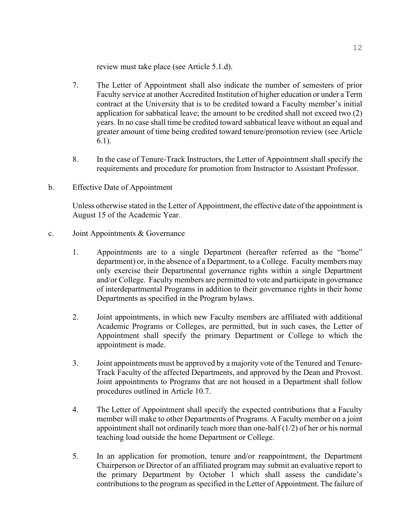review must take place (see Article 5.1.d).

- 7. The Letter of Appointment shall also indicate the number of semesters of prior Faculty service at another Accredited Institution of higher education or under a Term contract at the University that is to be credited toward a Faculty member's initial application for sabbatical leave; the amount to be credited shall not exceed two (2) years. In no case shall time be credited toward sabbatical leave without an equal and greater amount of time being credited toward tenure/promotion review (see Article 6.1).
- 8. In the case of Tenure-Track Instructors, the Letter of Appointment shall specify the requirements and procedure for promotion from Instructor to Assistant Professor.
- b. Effective Date of Appointment

Unless otherwise stated in the Letter of Appointment, the effective date of the appointment is August 15 of the Academic Year.

- c. Joint Appointments & Governance
	- 1. Appointments are to a single Department (hereafter referred as the "home" department) or, in the absence of a Department, to a College. Faculty members may only exercise their Departmental governance rights within a single Department and/or College. Faculty members are permitted to vote and participate in governance of interdepartmental Programs in addition to their governance rights in their home Departments as specified in the Program bylaws.
	- 2. Joint appointments, in which new Faculty members are affiliated with additional Academic Programs or Colleges, are permitted, but in such cases, the Letter of Appointment shall specify the primary Department or College to which the appointment is made.
	- 3. Joint appointments must be approved by a majority vote of the Tenured and Tenure-Track Faculty of the affected Departments, and approved by the Dean and Provost. Joint appointments to Programs that are not housed in a Department shall follow procedures outlined in Article 10.7.
	- 4. The Letter of Appointment shall specify the expected contributions that a Faculty member will make to other Departments of Programs. A Faculty member on a joint appointment shall not ordinarily teach more than one-half (1/2) of her or his normal teaching load outside the home Department or College.
	- 5. In an application for promotion, tenure and/or reappointment, the Department Chairperson or Director of an affiliated program may submit an evaluative report to the primary Department by October 1 which shall assess the candidate's contributions to the program as specified in the Letter of Appointment. The failure of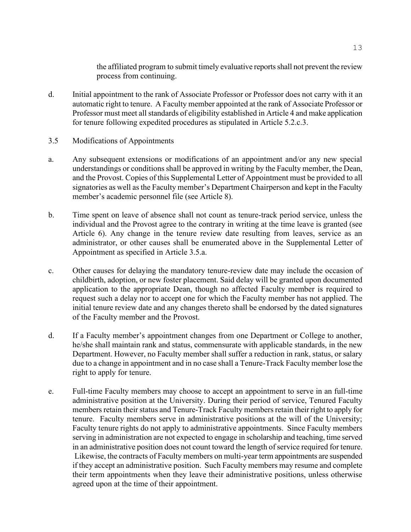the affiliated program to submit timely evaluative reports shall not prevent the review process from continuing.

- d. Initial appointment to the rank of Associate Professor or Professor does not carry with it an automatic right to tenure. A Faculty member appointed at the rank of Associate Professor or Professor must meet all standards of eligibility established in Article 4 and make application for tenure following expedited procedures as stipulated in Article 5.2.c.3.
- 3.5 Modifications of Appointments
- a. Any subsequent extensions or modifications of an appointment and/or any new special understandings or conditions shall be approved in writing by the Faculty member, the Dean, and the Provost. Copies of this Supplemental Letter of Appointment must be provided to all signatories as well as the Faculty member's Department Chairperson and kept in the Faculty member's academic personnel file (see Article 8).
- b. Time spent on leave of absence shall not count as tenure-track period service, unless the individual and the Provost agree to the contrary in writing at the time leave is granted (see Article 6). Any change in the tenure review date resulting from leaves, service as an administrator, or other causes shall be enumerated above in the Supplemental Letter of Appointment as specified in Article 3.5.a.
- c. Other causes for delaying the mandatory tenure-review date may include the occasion of childbirth, adoption, or new foster placement. Said delay will be granted upon documented application to the appropriate Dean, though no affected Faculty member is required to request such a delay nor to accept one for which the Faculty member has not applied. The initial tenure review date and any changes thereto shall be endorsed by the dated signatures of the Faculty member and the Provost.
- d. If a Faculty member's appointment changes from one Department or College to another, he/she shall maintain rank and status, commensurate with applicable standards, in the new Department. However, no Faculty member shall suffer a reduction in rank, status, or salary due to a change in appointment and in no case shall a Tenure-Track Faculty member lose the right to apply for tenure.
- e. Full-time Faculty members may choose to accept an appointment to serve in an full-time administrative position at the University. During their period of service, Tenured Faculty members retain their status and Tenure-Track Faculty members retain their right to apply for tenure. Faculty members serve in administrative positions at the will of the University; Faculty tenure rights do not apply to administrative appointments. Since Faculty members serving in administration are not expected to engage in scholarship and teaching, time served in an administrative position does not count toward the length of service required for tenure. Likewise, the contracts of Faculty members on multi-year term appointments are suspended if they accept an administrative position. Such Faculty members may resume and complete their term appointments when they leave their administrative positions, unless otherwise agreed upon at the time of their appointment.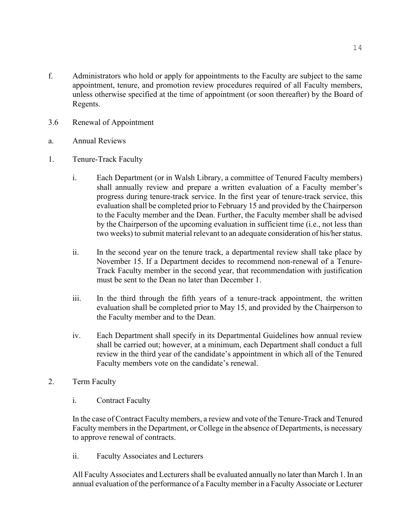- f. Administrators who hold or apply for appointments to the Faculty are subject to the same appointment, tenure, and promotion review procedures required of all Faculty members, unless otherwise specified at the time of appointment (or soon thereafter) by the Board of Regents.
- 3.6 Renewal of Appointment
- a. Annual Reviews
- 1. Tenure-Track Faculty
	- i. Each Department (or in Walsh Library, a committee of Tenured Faculty members) shall annually review and prepare a written evaluation of a Faculty member's progress during tenure-track service. In the first year of tenure-track service, this evaluation shall be completed prior to February 15 and provided by the Chairperson to the Faculty member and the Dean. Further, the Faculty member shall be advised by the Chairperson of the upcoming evaluation in sufficient time (i.e., not less than two weeks) to submit material relevant to an adequate consideration of his/her status.
	- ii. In the second year on the tenure track, a departmental review shall take place by November 15. If a Department decides to recommend non-renewal of a Tenure-Track Faculty member in the second year, that recommendation with justification must be sent to the Dean no later than December 1.
	- iii. In the third through the fifth years of a tenure-track appointment, the written evaluation shall be completed prior to May 15, and provided by the Chairperson to the Faculty member and to the Dean.
	- iv. Each Department shall specify in its Departmental Guidelines how annual review shall be carried out; however, at a minimum, each Department shall conduct a full review in the third year of the candidate's appointment in which all of the Tenured Faculty members vote on the candidate's renewal.
- 2. Term Faculty
	- i. Contract Faculty

In the case of Contract Faculty members, a review and vote of the Tenure-Track and Tenured Faculty members in the Department, or College in the absence of Departments, is necessary to approve renewal of contracts.

ii. Faculty Associates and Lecturers

All Faculty Associates and Lecturers shall be evaluated annually no later than March 1. In an annual evaluation of the performance of a Faculty member in a Faculty Associate or Lecturer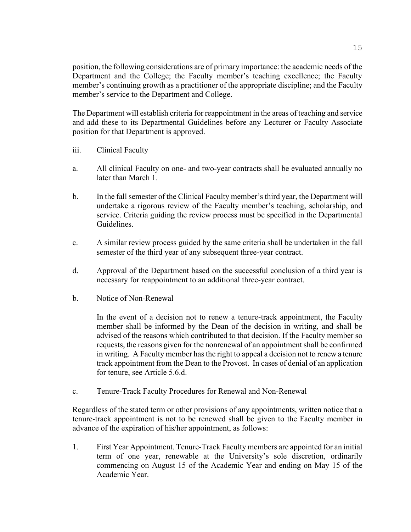position, the following considerations are of primary importance: the academic needs of the Department and the College; the Faculty member's teaching excellence; the Faculty member's continuing growth as a practitioner of the appropriate discipline; and the Faculty member's service to the Department and College.

The Department will establish criteria for reappointment in the areas of teaching and service and add these to its Departmental Guidelines before any Lecturer or Faculty Associate position for that Department is approved.

- iii. Clinical Faculty
- a. All clinical Faculty on one- and two-year contracts shall be evaluated annually no later than March 1.
- b. In the fall semester of the Clinical Faculty member's third year, the Department will undertake a rigorous review of the Faculty member's teaching, scholarship, and service. Criteria guiding the review process must be specified in the Departmental Guidelines.
- c. A similar review process guided by the same criteria shall be undertaken in the fall semester of the third year of any subsequent three-year contract.
- d. Approval of the Department based on the successful conclusion of a third year is necessary for reappointment to an additional three-year contract.
- b. Notice of Non-Renewal

In the event of a decision not to renew a tenure-track appointment, the Faculty member shall be informed by the Dean of the decision in writing, and shall be advised of the reasons which contributed to that decision. If the Faculty member so requests, the reasons given for the nonrenewal of an appointment shall be confirmed in writing. A Faculty member has the right to appeal a decision not to renew a tenure track appointment from the Dean to the Provost. In cases of denial of an application for tenure, see Article 5.6.d.

c. Tenure-Track Faculty Procedures for Renewal and Non-Renewal

Regardless of the stated term or other provisions of any appointments, written notice that a tenure-track appointment is not to be renewed shall be given to the Faculty member in advance of the expiration of his/her appointment, as follows:

1. First Year Appointment. Tenure-Track Faculty members are appointed for an initial term of one year, renewable at the University's sole discretion, ordinarily commencing on August 15 of the Academic Year and ending on May 15 of the Academic Year.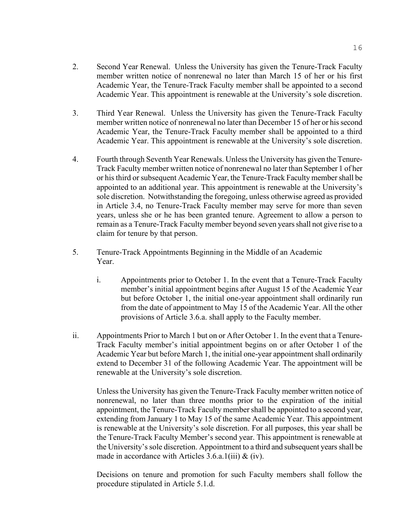- 2. Second Year Renewal. Unless the University has given the Tenure-Track Faculty member written notice of nonrenewal no later than March 15 of her or his first Academic Year, the Tenure-Track Faculty member shall be appointed to a second Academic Year. This appointment is renewable at the University's sole discretion.
- 3. Third Year Renewal. Unless the University has given the Tenure-Track Faculty member written notice of nonrenewal no later than December 15 of her or his second Academic Year, the Tenure-Track Faculty member shall be appointed to a third Academic Year. This appointment is renewable at the University's sole discretion.
- 4. Fourth through Seventh Year Renewals. Unless the University has given the Tenure-Track Faculty member written notice of nonrenewal no later than September 1 of her or his third or subsequent Academic Year, the Tenure-Track Faculty member shall be appointed to an additional year. This appointment is renewable at the University's sole discretion. Notwithstanding the foregoing, unless otherwise agreed as provided in Article 3.4, no Tenure-Track Faculty member may serve for more than seven years, unless she or he has been granted tenure. Agreement to allow a person to remain as a Tenure-Track Faculty member beyond seven years shall not give rise to a claim for tenure by that person.
- 5. Tenure-Track Appointments Beginning in the Middle of an Academic Year.
	- i. Appointments prior to October 1. In the event that a Tenure-Track Faculty member's initial appointment begins after August 15 of the Academic Year but before October 1, the initial one-year appointment shall ordinarily run from the date of appointment to May 15 of the Academic Year. All the other provisions of Article 3.6.a. shall apply to the Faculty member.
- ii. Appointments Prior to March 1 but on or After October 1. In the event that a Tenure-Track Faculty member's initial appointment begins on or after October 1 of the Academic Year but before March 1, the initial one-year appointment shall ordinarily extend to December 31 of the following Academic Year. The appointment will be renewable at the University's sole discretion.

Unless the University has given the Tenure-Track Faculty member written notice of nonrenewal, no later than three months prior to the expiration of the initial appointment, the Tenure-Track Faculty member shall be appointed to a second year, extending from January 1 to May 15 of the same Academic Year. This appointment is renewable at the University's sole discretion. For all purposes, this year shall be the Tenure-Track Faculty Member's second year. This appointment is renewable at the University's sole discretion. Appointment to a third and subsequent years shall be made in accordance with Articles  $3.6.a.1(iii) \& (iv)$ .

Decisions on tenure and promotion for such Faculty members shall follow the procedure stipulated in Article 5.1.d.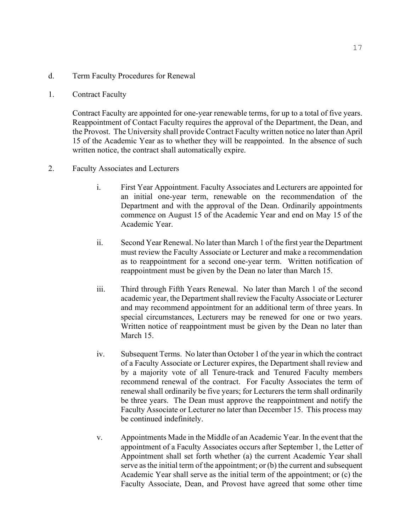- d. Term Faculty Procedures for Renewal
- 1. Contract Faculty

Contract Faculty are appointed for one-year renewable terms, for up to a total of five years. Reappointment of Contact Faculty requires the approval of the Department, the Dean, and the Provost. The University shall provide Contract Faculty written notice no later than April 15 of the Academic Year as to whether they will be reappointed. In the absence of such written notice, the contract shall automatically expire.

- 2. Faculty Associates and Lecturers
	- i. First Year Appointment. Faculty Associates and Lecturers are appointed for an initial one-year term, renewable on the recommendation of the Department and with the approval of the Dean. Ordinarily appointments commence on August 15 of the Academic Year and end on May 15 of the Academic Year.
	- ii. Second Year Renewal. No later than March 1 of the first year the Department must review the Faculty Associate or Lecturer and make a recommendation as to reappointment for a second one-year term. Written notification of reappointment must be given by the Dean no later than March 15.
	- iii. Third through Fifth Years Renewal. No later than March 1 of the second academic year, the Department shall review the Faculty Associate or Lecturer and may recommend appointment for an additional term of three years. In special circumstances, Lecturers may be renewed for one or two years. Written notice of reappointment must be given by the Dean no later than March 15
	- iv. Subsequent Terms. No later than October 1 of the year in which the contract of a Faculty Associate or Lecturer expires, the Department shall review and by a majority vote of all Tenure-track and Tenured Faculty members recommend renewal of the contract. For Faculty Associates the term of renewal shall ordinarily be five years; for Lecturers the term shall ordinarily be three years. The Dean must approve the reappointment and notify the Faculty Associate or Lecturer no later than December 15. This process may be continued indefinitely.
	- v. Appointments Made in the Middle of an Academic Year. In the event that the appointment of a Faculty Associates occurs after September 1, the Letter of Appointment shall set forth whether (a) the current Academic Year shall serve as the initial term of the appointment; or (b) the current and subsequent Academic Year shall serve as the initial term of the appointment; or (c) the Faculty Associate, Dean, and Provost have agreed that some other time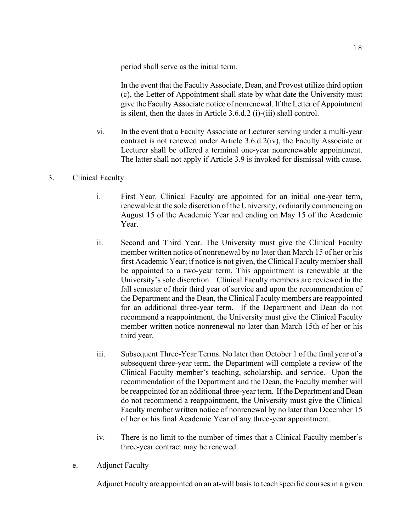period shall serve as the initial term.

In the event that the Faculty Associate, Dean, and Provost utilize third option (c), the Letter of Appointment shall state by what date the University must give the Faculty Associate notice of nonrenewal. If the Letter of Appointment is silent, then the dates in Article 3.6.d.2 (i)-(iii) shall control.

vi. In the event that a Faculty Associate or Lecturer serving under a multi-year contract is not renewed under Article 3.6.d.2(iv), the Faculty Associate or Lecturer shall be offered a terminal one-year nonrenewable appointment. The latter shall not apply if Article 3.9 is invoked for dismissal with cause.

# 3. Clinical Faculty

- i. First Year. Clinical Faculty are appointed for an initial one-year term, renewable at the sole discretion of the University, ordinarily commencing on August 15 of the Academic Year and ending on May 15 of the Academic Year.
- ii. Second and Third Year. The University must give the Clinical Faculty member written notice of nonrenewal by no later than March 15 of her or his first Academic Year; if notice is not given, the Clinical Faculty member shall be appointed to a two-year term. This appointment is renewable at the University's sole discretion. Clinical Faculty members are reviewed in the fall semester of their third year of service and upon the recommendation of the Department and the Dean, the Clinical Faculty members are reappointed for an additional three-year term. If the Department and Dean do not recommend a reappointment, the University must give the Clinical Faculty member written notice nonrenewal no later than March 15th of her or his third year.
- iii. Subsequent Three-Year Terms. No later than October 1 of the final year of a subsequent three-year term, the Department will complete a review of the Clinical Faculty member's teaching, scholarship, and service. Upon the recommendation of the Department and the Dean, the Faculty member will be reappointed for an additional three-year term. If the Department and Dean do not recommend a reappointment, the University must give the Clinical Faculty member written notice of nonrenewal by no later than December 15 of her or his final Academic Year of any three-year appointment.
- iv. There is no limit to the number of times that a Clinical Faculty member's three-year contract may be renewed.
- e. Adjunct Faculty

Adjunct Faculty are appointed on an at-will basis to teach specific courses in a given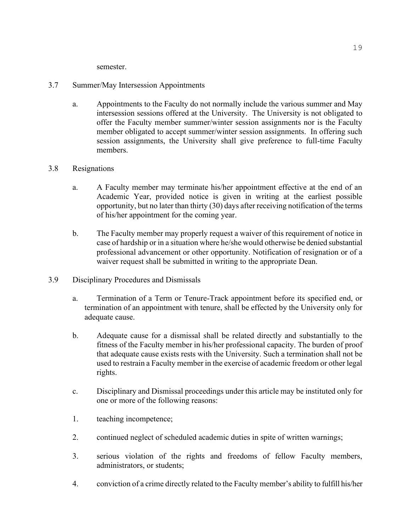semester.

# 3.7 Summer/May Intersession Appointments

a. Appointments to the Faculty do not normally include the various summer and May intersession sessions offered at the University. The University is not obligated to offer the Faculty member summer/winter session assignments nor is the Faculty member obligated to accept summer/winter session assignments. In offering such session assignments, the University shall give preference to full-time Faculty members.

# 3.8 Resignations

- a. A Faculty member may terminate his/her appointment effective at the end of an Academic Year, provided notice is given in writing at the earliest possible opportunity, but no later than thirty (30) days after receiving notification of the terms of his/her appointment for the coming year.
- b. The Faculty member may properly request a waiver of this requirement of notice in case of hardship or in a situation where he/she would otherwise be denied substantial professional advancement or other opportunity. Notification of resignation or of a waiver request shall be submitted in writing to the appropriate Dean.
- 3.9 Disciplinary Procedures and Dismissals
	- a. Termination of a Term or Tenure-Track appointment before its specified end, or termination of an appointment with tenure, shall be effected by the University only for adequate cause.
	- b. Adequate cause for a dismissal shall be related directly and substantially to the fitness of the Faculty member in his/her professional capacity. The burden of proof that adequate cause exists rests with the University. Such a termination shall not be used to restrain a Faculty member in the exercise of academic freedom or other legal rights.
	- c. Disciplinary and Dismissal proceedings under this article may be instituted only for one or more of the following reasons:
	- 1. teaching incompetence;
	- 2. continued neglect of scheduled academic duties in spite of written warnings;
	- 3. serious violation of the rights and freedoms of fellow Faculty members, administrators, or students;
	- 4. conviction of a crime directly related to the Faculty member's ability to fulfill his/her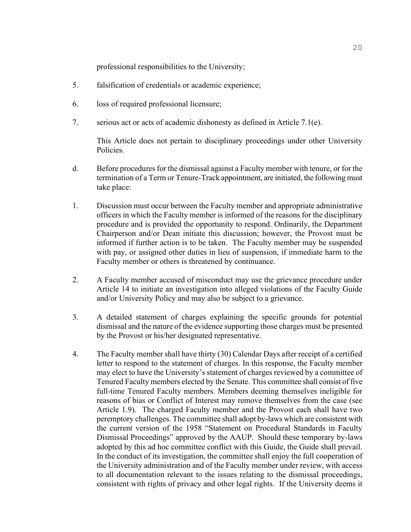professional responsibilities to the University;

- 5. falsification of credentials or academic experience;
- 6. loss of required professional licensure;
- 7. serious act or acts of academic dishonesty as defined in Article 7.1(e).

This Article does not pertain to disciplinary proceedings under other University Policies.

- d. Before procedures for the dismissal against a Faculty member with tenure, or for the termination of a Term or Tenure-Track appointment, are initiated, the following must take place:
- 1. Discussion must occur between the Faculty member and appropriate administrative officers in which the Faculty member is informed of the reasons for the disciplinary procedure and is provided the opportunity to respond. Ordinarily, the Department Chairperson and/or Dean initiate this discussion; however, the Provost must be informed if further action is to be taken. The Faculty member may be suspended with pay, or assigned other duties in lieu of suspension, if immediate harm to the Faculty member or others is threatened by continuance.
- 2. A Faculty member accused of misconduct may use the grievance procedure under Article 14 to initiate an investigation into alleged violations of the Faculty Guide and/or University Policy and may also be subject to a grievance.
- 3. A detailed statement of charges explaining the specific grounds for potential dismissal and the nature of the evidence supporting those charges must be presented by the Provost or his/her designated representative.
- 4. The Faculty member shall have thirty (30) Calendar Days after receipt of a certified letter to respond to the statement of charges. In this response, the Faculty member may elect to have the University's statement of charges reviewed by a committee of Tenured Faculty members elected by the Senate. This committee shall consist of five full-time Tenured Faculty members. Members deeming themselves ineligible for reasons of bias or Conflict of Interest may remove themselves from the case (see Article 1.9). The charged Faculty member and the Provost each shall have two peremptory challenges. The committee shall adopt by-laws which are consistent with the current version of the 1958 "Statement on Procedural Standards in Faculty Dismissal Proceedings" approved by the AAUP. Should these temporary by-laws adopted by this ad hoc committee conflict with this Guide, the Guide shall prevail. In the conduct of its investigation, the committee shall enjoy the full cooperation of the University administration and of the Faculty member under review, with access to all documentation relevant to the issues relating to the dismissal proceedings, consistent with rights of privacy and other legal rights. If the University deems it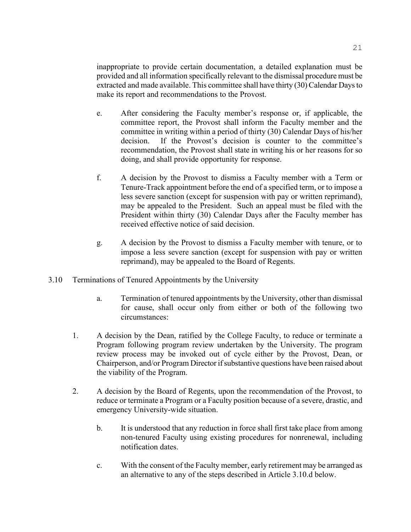inappropriate to provide certain documentation, a detailed explanation must be provided and all information specifically relevant to the dismissal procedure must be extracted and made available. This committee shall have thirty (30) Calendar Days to make its report and recommendations to the Provost.

- e. After considering the Faculty member's response or, if applicable, the committee report, the Provost shall inform the Faculty member and the committee in writing within a period of thirty (30) Calendar Days of his/her decision. If the Provost's decision is counter to the committee's recommendation, the Provost shall state in writing his or her reasons for so doing, and shall provide opportunity for response.
- f. A decision by the Provost to dismiss a Faculty member with a Term or Tenure-Track appointment before the end of a specified term, or to impose a less severe sanction (except for suspension with pay or written reprimand), may be appealed to the President. Such an appeal must be filed with the President within thirty (30) Calendar Days after the Faculty member has received effective notice of said decision.
- g. A decision by the Provost to dismiss a Faculty member with tenure, or to impose a less severe sanction (except for suspension with pay or written reprimand), may be appealed to the Board of Regents.
- 3.10 Terminations of Tenured Appointments by the University
	- a. Termination of tenured appointments by the University, other than dismissal for cause, shall occur only from either or both of the following two circumstances:
	- 1. A decision by the Dean, ratified by the College Faculty, to reduce or terminate a Program following program review undertaken by the University. The program review process may be invoked out of cycle either by the Provost, Dean, or Chairperson, and/or Program Director if substantive questions have been raised about the viability of the Program.
	- 2. A decision by the Board of Regents, upon the recommendation of the Provost, to reduce or terminate a Program or a Faculty position because of a severe, drastic, and emergency University-wide situation.
		- b. It is understood that any reduction in force shall first take place from among non-tenured Faculty using existing procedures for nonrenewal, including notification dates.
		- c. With the consent of the Faculty member, early retirement may be arranged as an alternative to any of the steps described in Article 3.10.d below.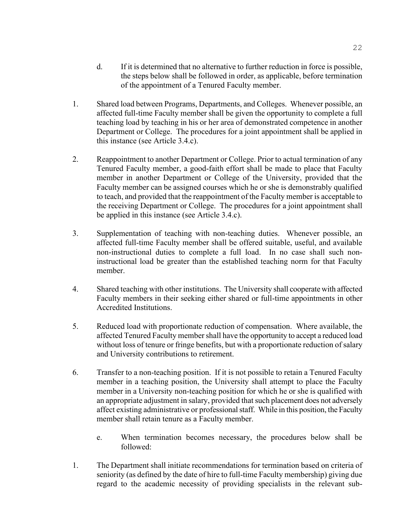- d. If it is determined that no alternative to further reduction in force is possible, the steps below shall be followed in order, as applicable, before termination of the appointment of a Tenured Faculty member.
- 1. Shared load between Programs, Departments, and Colleges. Whenever possible, an affected full-time Faculty member shall be given the opportunity to complete a full teaching load by teaching in his or her area of demonstrated competence in another Department or College. The procedures for a joint appointment shall be applied in this instance (see Article 3.4.c).
- 2. Reappointment to another Department or College. Prior to actual termination of any Tenured Faculty member, a good-faith effort shall be made to place that Faculty member in another Department or College of the University, provided that the Faculty member can be assigned courses which he or she is demonstrably qualified to teach, and provided that the reappointment of the Faculty member is acceptable to the receiving Department or College. The procedures for a joint appointment shall be applied in this instance (see Article 3.4.c).
- 3. Supplementation of teaching with non-teaching duties. Whenever possible, an affected full-time Faculty member shall be offered suitable, useful, and available non-instructional duties to complete a full load. In no case shall such noninstructional load be greater than the established teaching norm for that Faculty member.
- 4. Shared teaching with other institutions. The University shall cooperate with affected Faculty members in their seeking either shared or full-time appointments in other Accredited Institutions.
- 5. Reduced load with proportionate reduction of compensation. Where available, the affected Tenured Faculty member shall have the opportunity to accept a reduced load without loss of tenure or fringe benefits, but with a proportionate reduction of salary and University contributions to retirement.
- 6. Transfer to a non-teaching position. If it is not possible to retain a Tenured Faculty member in a teaching position, the University shall attempt to place the Faculty member in a University non-teaching position for which he or she is qualified with an appropriate adjustment in salary, provided that such placement does not adversely affect existing administrative or professional staff. While in this position, the Faculty member shall retain tenure as a Faculty member.
	- e. When termination becomes necessary, the procedures below shall be followed:
- 1. The Department shall initiate recommendations for termination based on criteria of seniority (as defined by the date of hire to full-time Faculty membership) giving due regard to the academic necessity of providing specialists in the relevant sub-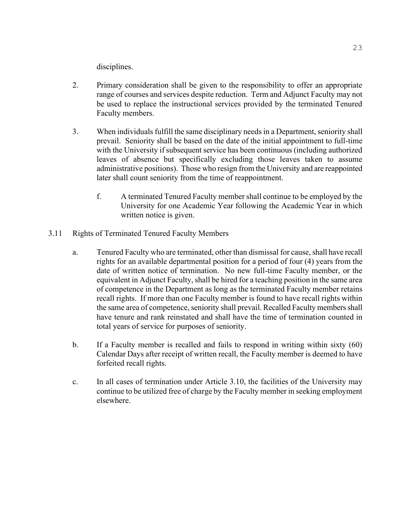disciplines.

- 2. Primary consideration shall be given to the responsibility to offer an appropriate range of courses and services despite reduction. Term and Adjunct Faculty may not be used to replace the instructional services provided by the terminated Tenured Faculty members.
- 3. When individuals fulfill the same disciplinary needs in a Department, seniority shall prevail. Seniority shall be based on the date of the initial appointment to full-time with the University if subsequent service has been continuous (including authorized leaves of absence but specifically excluding those leaves taken to assume administrative positions). Those who resign from the University and are reappointed later shall count seniority from the time of reappointment.
	- f. A terminated Tenured Faculty member shall continue to be employed by the University for one Academic Year following the Academic Year in which written notice is given.
- 3.11 Rights of Terminated Tenured Faculty Members
	- a. Tenured Faculty who are terminated, other than dismissal for cause, shall have recall rights for an available departmental position for a period of four (4) years from the date of written notice of termination. No new full-time Faculty member, or the equivalent in Adjunct Faculty, shall be hired for a teaching position in the same area of competence in the Department as long as the terminated Faculty member retains recall rights. If more than one Faculty member is found to have recall rights within the same area of competence, seniority shall prevail. Recalled Faculty members shall have tenure and rank reinstated and shall have the time of termination counted in total years of service for purposes of seniority.
	- b. If a Faculty member is recalled and fails to respond in writing within sixty (60) Calendar Days after receipt of written recall, the Faculty member is deemed to have forfeited recall rights.
	- c. In all cases of termination under Article 3.10, the facilities of the University may continue to be utilized free of charge by the Faculty member in seeking employment elsewhere.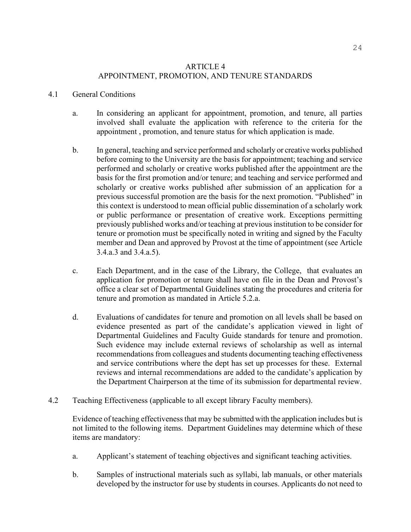# ARTICLE 4 APPOINTMENT, PROMOTION, AND TENURE STANDARDS

#### 4.1 General Conditions

- a. In considering an applicant for appointment, promotion, and tenure, all parties involved shall evaluate the application with reference to the criteria for the appointment , promotion, and tenure status for which application is made.
- b. In general, teaching and service performed and scholarly or creative works published before coming to the University are the basis for appointment; teaching and service performed and scholarly or creative works published after the appointment are the basis for the first promotion and/or tenure; and teaching and service performed and scholarly or creative works published after submission of an application for a previous successful promotion are the basis for the next promotion. "Published" in this context is understood to mean official public dissemination of a scholarly work or public performance or presentation of creative work. Exceptions permitting previously published works and/or teaching at previous institution to be consider for tenure or promotion must be specifically noted in writing and signed by the Faculty member and Dean and approved by Provost at the time of appointment (see Article 3.4.a.3 and 3.4.a.5).
- c. Each Department, and in the case of the Library, the College, that evaluates an application for promotion or tenure shall have on file in the Dean and Provost's office a clear set of Departmental Guidelines stating the procedures and criteria for tenure and promotion as mandated in Article 5.2.a.
- d. Evaluations of candidates for tenure and promotion on all levels shall be based on evidence presented as part of the candidate's application viewed in light of Departmental Guidelines and Faculty Guide standards for tenure and promotion. Such evidence may include external reviews of scholarship as well as internal recommendations from colleagues and students documenting teaching effectiveness and service contributions where the dept has set up processes for these. External reviews and internal recommendations are added to the candidate's application by the Department Chairperson at the time of its submission for departmental review.
- 4.2 Teaching Effectiveness (applicable to all except library Faculty members).

Evidence of teaching effectiveness that may be submitted with the application includes but is not limited to the following items. Department Guidelines may determine which of these items are mandatory:

- a. Applicant's statement of teaching objectives and significant teaching activities.
- b. Samples of instructional materials such as syllabi, lab manuals, or other materials developed by the instructor for use by students in courses. Applicants do not need to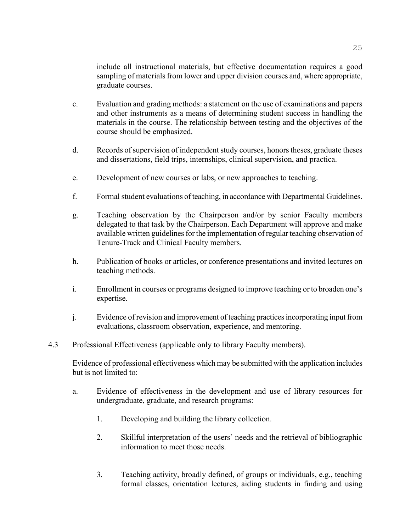include all instructional materials, but effective documentation requires a good sampling of materials from lower and upper division courses and, where appropriate, graduate courses.

- c. Evaluation and grading methods: a statement on the use of examinations and papers and other instruments as a means of determining student success in handling the materials in the course. The relationship between testing and the objectives of the course should be emphasized.
- d. Records of supervision of independent study courses, honors theses, graduate theses and dissertations, field trips, internships, clinical supervision, and practica.
- e. Development of new courses or labs, or new approaches to teaching.
- f. Formal student evaluations of teaching, in accordance with Departmental Guidelines.
- g. Teaching observation by the Chairperson and/or by senior Faculty members delegated to that task by the Chairperson. Each Department will approve and make available written guidelines for the implementation of regular teaching observation of Tenure-Track and Clinical Faculty members.
- h. Publication of books or articles, or conference presentations and invited lectures on teaching methods.
- i. Enrollment in courses or programs designed to improve teaching or to broaden one's expertise.
- j. Evidence of revision and improvement of teaching practices incorporating input from evaluations, classroom observation, experience, and mentoring.
- 4.3 Professional Effectiveness (applicable only to library Faculty members).

Evidence of professional effectiveness which may be submitted with the application includes but is not limited to:

- a. Evidence of effectiveness in the development and use of library resources for undergraduate, graduate, and research programs:
	- 1. Developing and building the library collection.
	- 2. Skillful interpretation of the users' needs and the retrieval of bibliographic information to meet those needs.
	- 3. Teaching activity, broadly defined, of groups or individuals, e.g., teaching formal classes, orientation lectures, aiding students in finding and using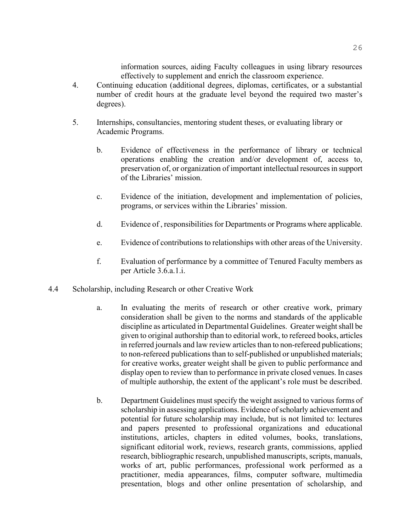information sources, aiding Faculty colleagues in using library resources effectively to supplement and enrich the classroom experience.

- 4. Continuing education (additional degrees, diplomas, certificates, or a substantial number of credit hours at the graduate level beyond the required two master's degrees).
- 5. Internships, consultancies, mentoring student theses, or evaluating library or Academic Programs.
	- b. Evidence of effectiveness in the performance of library or technical operations enabling the creation and/or development of, access to, preservation of, or organization of important intellectual resources in support of the Libraries' mission.
	- c. Evidence of the initiation, development and implementation of policies, programs, or services within the Libraries' mission.
	- d. Evidence of , responsibilities for Departments or Programs where applicable.
	- e. Evidence of contributions to relationships with other areas of the University.
	- f. Evaluation of performance by a committee of Tenured Faculty members as per Article 3.6.a.1.i.
- 4.4 Scholarship, including Research or other Creative Work
	- a. In evaluating the merits of research or other creative work, primary consideration shall be given to the norms and standards of the applicable discipline as articulated in Departmental Guidelines. Greater weight shall be given to original authorship than to editorial work, to refereed books, articles in referred journals and law review articles than to non-refereed publications; to non-refereed publications than to self-published or unpublished materials; for creative works, greater weight shall be given to public performance and display open to review than to performance in private closed venues. In cases of multiple authorship, the extent of the applicant's role must be described.
	- b. Department Guidelines must specify the weight assigned to various forms of scholarship in assessing applications. Evidence of scholarly achievement and potential for future scholarship may include, but is not limited to: lectures and papers presented to professional organizations and educational institutions, articles, chapters in edited volumes, books, translations, significant editorial work, reviews, research grants, commissions, applied research, bibliographic research, unpublished manuscripts, scripts, manuals, works of art, public performances, professional work performed as a practitioner, media appearances, films, computer software, multimedia presentation, blogs and other online presentation of scholarship, and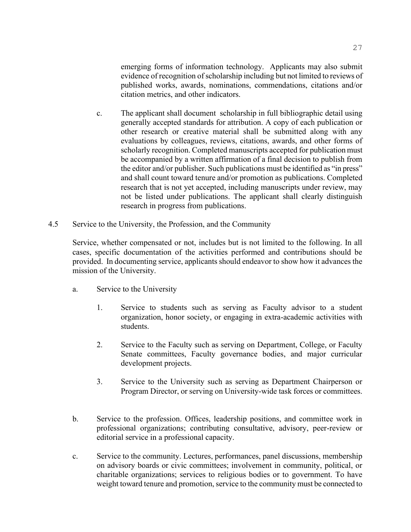emerging forms of information technology. Applicants may also submit evidence of recognition of scholarship including but not limited to reviews of published works, awards, nominations, commendations, citations and/or citation metrics, and other indicators.

- c. The applicant shall document scholarship in full bibliographic detail using generally accepted standards for attribution. A copy of each publication or other research or creative material shall be submitted along with any evaluations by colleagues, reviews, citations, awards, and other forms of scholarly recognition. Completed manuscripts accepted for publication must be accompanied by a written affirmation of a final decision to publish from the editor and/or publisher. Such publications must be identified as "in press" and shall count toward tenure and/or promotion as publications. Completed research that is not yet accepted, including manuscripts under review, may not be listed under publications. The applicant shall clearly distinguish research in progress from publications.
- 4.5 Service to the University, the Profession, and the Community

Service, whether compensated or not, includes but is not limited to the following. In all cases, specific documentation of the activities performed and contributions should be provided. In documenting service, applicants should endeavor to show how it advances the mission of the University.

- a. Service to the University
	- 1. Service to students such as serving as Faculty advisor to a student organization, honor society, or engaging in extra-academic activities with students.
	- 2. Service to the Faculty such as serving on Department, College, or Faculty Senate committees, Faculty governance bodies, and major curricular development projects.
	- 3. Service to the University such as serving as Department Chairperson or Program Director, or serving on University-wide task forces or committees.
- b. Service to the profession. Offices, leadership positions, and committee work in professional organizations; contributing consultative, advisory, peer-review or editorial service in a professional capacity.
- c. Service to the community. Lectures, performances, panel discussions, membership on advisory boards or civic committees; involvement in community, political, or charitable organizations; services to religious bodies or to government. To have weight toward tenure and promotion, service to the community must be connected to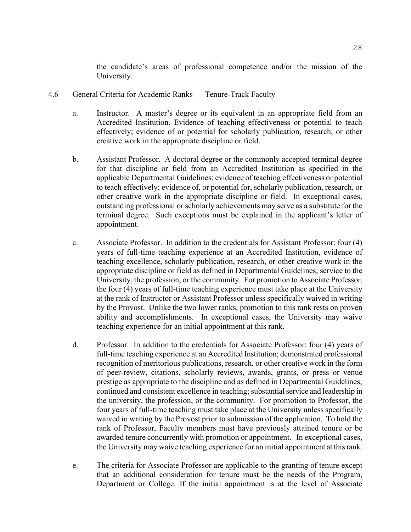the candidate's areas of professional competence and/or the mission of the University.

- 4.6 General Criteria for Academic Ranks Tenure-Track Faculty
	- a. Instructor. A master's degree or its equivalent in an appropriate field from an Accredited Institution. Evidence of teaching effectiveness or potential to teach effectively; evidence of or potential for scholarly publication, research, or other creative work in the appropriate discipline or field.
	- b. Assistant Professor. A doctoral degree or the commonly accepted terminal degree for that discipline or field from an Accredited Institution as specified in the applicable Departmental Guidelines; evidence of teaching effectiveness or potential to teach effectively; evidence of, or potential for, scholarly publication, research, or other creative work in the appropriate discipline or field. In exceptional cases, outstanding professional or scholarly achievements may serve as a substitute for the terminal degree. Such exceptions must be explained in the applicant's letter of appointment.
	- c. Associate Professor. In addition to the credentials for Assistant Professor: four (4) years of full-time teaching experience at an Accredited Institution, evidence of teaching excellence, scholarly publication, research, or other creative work in the appropriate discipline or field as defined in Departmental Guidelines; service to the University, the profession, or the community. For promotion to Associate Professor, the four (4) years of full-time teaching experience must take place at the University at the rank of Instructor or Assistant Professor unless specifically waived in writing by the Provost. Unlike the two lower ranks, promotion to this rank rests on proven ability and accomplishments. In exceptional cases, the University may waive teaching experience for an initial appointment at this rank.
	- d. Professor. In addition to the credentials for Associate Professor: four (4) years of full-time teaching experience at an Accredited Institution; demonstrated professional recognition of meritorious publications, research, or other creative work in the form of peer-review, citations, scholarly reviews, awards, grants, or press or venue prestige as appropriate to the discipline and as defined in Departmental Guidelines; continued and consistent excellence in teaching; substantial service and leadership in the university, the profession, or the community. For promotion to Professor, the four years of full-time teaching must take place at the University unless specifically waived in writing by the Provost prior to submission of the application. To hold the rank of Professor, Faculty members must have previously attained tenure or be awarded tenure concurrently with promotion or appointment. In exceptional cases, the University may waive teaching experience for an initial appointment at this rank.
	- e. The criteria for Associate Professor are applicable to the granting of tenure except that an additional consideration for tenure must be the needs of the Program, Department or College. If the initial appointment is at the level of Associate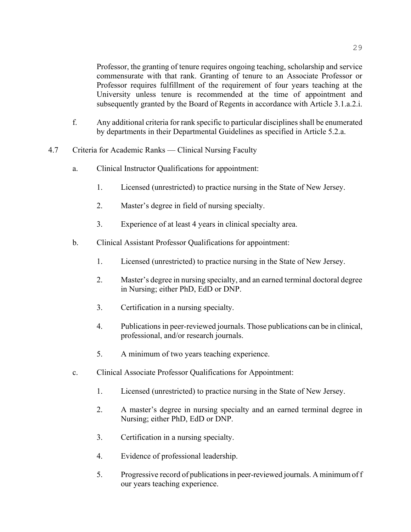Professor, the granting of tenure requires ongoing teaching, scholarship and service commensurate with that rank. Granting of tenure to an Associate Professor or Professor requires fulfillment of the requirement of four years teaching at the University unless tenure is recommended at the time of appointment and subsequently granted by the Board of Regents in accordance with Article 3.1.a.2.i.

- f. Any additional criteria for rank specific to particular disciplines shall be enumerated by departments in their Departmental Guidelines as specified in Article 5.2.a.
- 4.7 Criteria for Academic Ranks Clinical Nursing Faculty
	- a. Clinical Instructor Qualifications for appointment:
		- 1. Licensed (unrestricted) to practice nursing in the State of New Jersey.
		- 2. Master's degree in field of nursing specialty.
		- 3. Experience of at least 4 years in clinical specialty area.
	- b. Clinical Assistant Professor Qualifications for appointment:
		- 1. Licensed (unrestricted) to practice nursing in the State of New Jersey.
		- 2. Master's degree in nursing specialty, and an earned terminal doctoral degree in Nursing; either PhD, EdD or DNP.
		- 3. Certification in a nursing specialty.
		- 4. Publications in peer-reviewed journals. Those publications can be in clinical, professional, and/or research journals.
		- 5. A minimum of two years teaching experience.
	- c. Clinical Associate Professor Qualifications for Appointment:
		- 1. Licensed (unrestricted) to practice nursing in the State of New Jersey.
		- 2. A master's degree in nursing specialty and an earned terminal degree in Nursing; either PhD, EdD or DNP.
		- 3. Certification in a nursing specialty.
		- 4. Evidence of professional leadership.
		- 5. Progressive record of publications in peer-reviewed journals. A minimum of f our years teaching experience.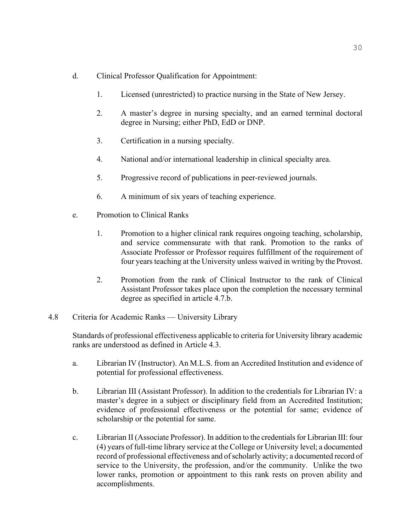- d. Clinical Professor Qualification for Appointment:
	- 1. Licensed (unrestricted) to practice nursing in the State of New Jersey.
	- 2. A master's degree in nursing specialty, and an earned terminal doctoral degree in Nursing; either PhD, EdD or DNP.
	- 3. Certification in a nursing specialty.
	- 4. National and/or international leadership in clinical specialty area.
	- 5. Progressive record of publications in peer-reviewed journals.
	- 6. A minimum of six years of teaching experience.
- e. Promotion to Clinical Ranks
	- 1. Promotion to a higher clinical rank requires ongoing teaching, scholarship, and service commensurate with that rank. Promotion to the ranks of Associate Professor or Professor requires fulfillment of the requirement of four years teaching at the University unless waived in writing by the Provost.
	- 2. Promotion from the rank of Clinical Instructor to the rank of Clinical Assistant Professor takes place upon the completion the necessary terminal degree as specified in article 4.7.b.
- 4.8 Criteria for Academic Ranks University Library

Standards of professional effectiveness applicable to criteria for University library academic ranks are understood as defined in Article 4.3.

- a. Librarian IV (Instructor). An M.L.S. from an Accredited Institution and evidence of potential for professional effectiveness.
- b. Librarian III (Assistant Professor). In addition to the credentials for Librarian IV: a master's degree in a subject or disciplinary field from an Accredited Institution; evidence of professional effectiveness or the potential for same; evidence of scholarship or the potential for same.
- c. Librarian II (Associate Professor). In addition to the credentials for Librarian III: four (4) years of full-time library service at the College or University level; a documented record of professional effectiveness and of scholarly activity; a documented record of service to the University, the profession, and/or the community. Unlike the two lower ranks, promotion or appointment to this rank rests on proven ability and accomplishments.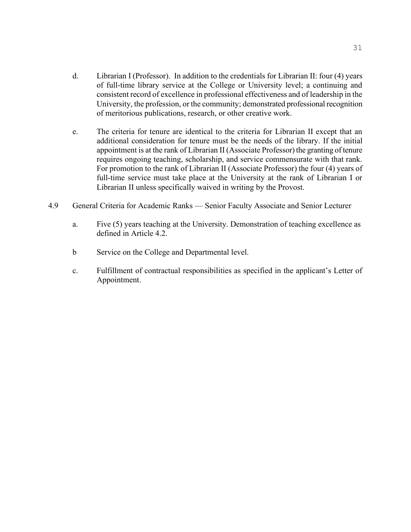- d. Librarian I (Professor). In addition to the credentials for Librarian II: four (4) years of full-time library service at the College or University level; a continuing and consistent record of excellence in professional effectiveness and of leadership in the University, the profession, or the community; demonstrated professional recognition of meritorious publications, research, or other creative work.
- e. The criteria for tenure are identical to the criteria for Librarian II except that an additional consideration for tenure must be the needs of the library. If the initial appointment is at the rank of Librarian II (Associate Professor) the granting of tenure requires ongoing teaching, scholarship, and service commensurate with that rank. For promotion to the rank of Librarian II (Associate Professor) the four (4) years of full-time service must take place at the University at the rank of Librarian I or Librarian II unless specifically waived in writing by the Provost.
- 4.9 General Criteria for Academic Ranks Senior Faculty Associate and Senior Lecturer
	- a. Five (5) years teaching at the University. Demonstration of teaching excellence as defined in Article 4.2.
	- b Service on the College and Departmental level.
	- c. Fulfillment of contractual responsibilities as specified in the applicant's Letter of Appointment.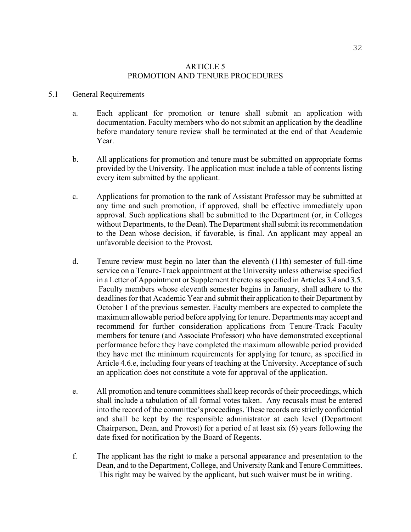#### ARTICLE 5 PROMOTION AND TENURE PROCEDURES

#### 5.1 General Requirements

- a. Each applicant for promotion or tenure shall submit an application with documentation. Faculty members who do not submit an application by the deadline before mandatory tenure review shall be terminated at the end of that Academic Year.
- b. All applications for promotion and tenure must be submitted on appropriate forms provided by the University. The application must include a table of contents listing every item submitted by the applicant.
- c. Applications for promotion to the rank of Assistant Professor may be submitted at any time and such promotion, if approved, shall be effective immediately upon approval. Such applications shall be submitted to the Department (or, in Colleges without Departments, to the Dean). The Department shall submit its recommendation to the Dean whose decision, if favorable, is final. An applicant may appeal an unfavorable decision to the Provost.
- d. Tenure review must begin no later than the eleventh (11th) semester of full-time service on a Tenure-Track appointment at the University unless otherwise specified in a Letter of Appointment or Supplement thereto as specified in Articles 3.4 and 3.5. Faculty members whose eleventh semester begins in January, shall adhere to the deadlines for that Academic Year and submit their application to their Department by October 1 of the previous semester. Faculty members are expected to complete the maximum allowable period before applying for tenure. Departments may accept and recommend for further consideration applications from Tenure-Track Faculty members for tenure (and Associate Professor) who have demonstrated exceptional performance before they have completed the maximum allowable period provided they have met the minimum requirements for applying for tenure, as specified in Article 4.6.e, including four years of teaching at the University. Acceptance of such an application does not constitute a vote for approval of the application.
- e. All promotion and tenure committees shall keep records of their proceedings, which shall include a tabulation of all formal votes taken. Any recusals must be entered into the record of the committee's proceedings. These records are strictly confidential and shall be kept by the responsible administrator at each level (Department Chairperson, Dean, and Provost) for a period of at least six (6) years following the date fixed for notification by the Board of Regents.
- f. The applicant has the right to make a personal appearance and presentation to the Dean, and to the Department, College, and University Rank and Tenure Committees. This right may be waived by the applicant, but such waiver must be in writing.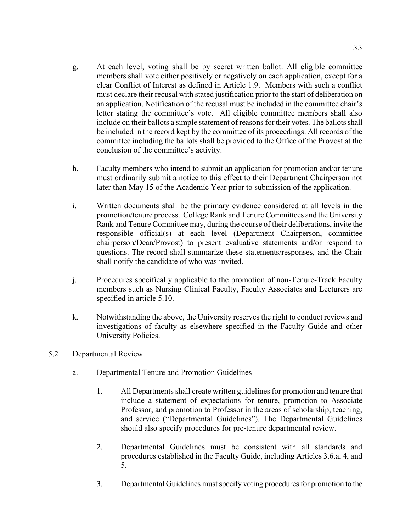- g. At each level, voting shall be by secret written ballot. All eligible committee members shall vote either positively or negatively on each application, except for a clear Conflict of Interest as defined in Article 1.9. Members with such a conflict must declare their recusal with stated justification prior to the start of deliberation on an application. Notification of the recusal must be included in the committee chair's letter stating the committee's vote. All eligible committee members shall also include on their ballots a simple statement of reasons for their votes. The ballots shall be included in the record kept by the committee of its proceedings. All records of the committee including the ballots shall be provided to the Office of the Provost at the conclusion of the committee's activity.
- h. Faculty members who intend to submit an application for promotion and/or tenure must ordinarily submit a notice to this effect to their Department Chairperson not later than May 15 of the Academic Year prior to submission of the application.
- i. Written documents shall be the primary evidence considered at all levels in the promotion/tenure process. College Rank and Tenure Committees and the University Rank and Tenure Committee may, during the course of their deliberations, invite the responsible official(s) at each level (Department Chairperson, committee chairperson/Dean/Provost) to present evaluative statements and/or respond to questions. The record shall summarize these statements/responses, and the Chair shall notify the candidate of who was invited.
- j. Procedures specifically applicable to the promotion of non-Tenure-Track Faculty members such as Nursing Clinical Faculty, Faculty Associates and Lecturers are specified in article 5.10.
- k. Notwithstanding the above, the University reserves the right to conduct reviews and investigations of faculty as elsewhere specified in the Faculty Guide and other University Policies.
- 5.2 Departmental Review
	- a. Departmental Tenure and Promotion Guidelines
		- 1. All Departments shall create written guidelines for promotion and tenure that include a statement of expectations for tenure, promotion to Associate Professor, and promotion to Professor in the areas of scholarship, teaching, and service ("Departmental Guidelines"). The Departmental Guidelines should also specify procedures for pre-tenure departmental review.
		- 2. Departmental Guidelines must be consistent with all standards and procedures established in the Faculty Guide, including Articles 3.6.a, 4, and 5.
		- 3. Departmental Guidelines must specify voting procedures for promotion to the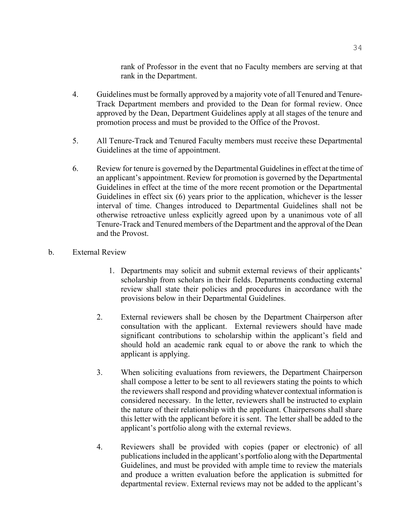rank of Professor in the event that no Faculty members are serving at that rank in the Department.

- 4. Guidelines must be formally approved by a majority vote of all Tenured and Tenure-Track Department members and provided to the Dean for formal review. Once approved by the Dean, Department Guidelines apply at all stages of the tenure and promotion process and must be provided to the Office of the Provost.
- 5. All Tenure-Track and Tenured Faculty members must receive these Departmental Guidelines at the time of appointment.
- 6. Review for tenure is governed by the Departmental Guidelines in effect at the time of an applicant's appointment. Review for promotion is governed by the Departmental Guidelines in effect at the time of the more recent promotion or the Departmental Guidelines in effect six (6) years prior to the application, whichever is the lesser interval of time. Changes introduced to Departmental Guidelines shall not be otherwise retroactive unless explicitly agreed upon by a unanimous vote of all Tenure-Track and Tenured members of the Department and the approval of the Dean and the Provost.
- b. External Review
	- 1. Departments may solicit and submit external reviews of their applicants' scholarship from scholars in their fields. Departments conducting external review shall state their policies and procedures in accordance with the provisions below in their Departmental Guidelines.
	- 2. External reviewers shall be chosen by the Department Chairperson after consultation with the applicant. External reviewers should have made significant contributions to scholarship within the applicant's field and should hold an academic rank equal to or above the rank to which the applicant is applying.
	- 3. When soliciting evaluations from reviewers, the Department Chairperson shall compose a letter to be sent to all reviewers stating the points to which the reviewers shall respond and providing whatever contextual information is considered necessary. In the letter, reviewers shall be instructed to explain the nature of their relationship with the applicant. Chairpersons shall share this letter with the applicant before it is sent. The letter shall be added to the applicant's portfolio along with the external reviews.
	- 4. Reviewers shall be provided with copies (paper or electronic) of all publications included in the applicant's portfolio along with the Departmental Guidelines, and must be provided with ample time to review the materials and produce a written evaluation before the application is submitted for departmental review. External reviews may not be added to the applicant's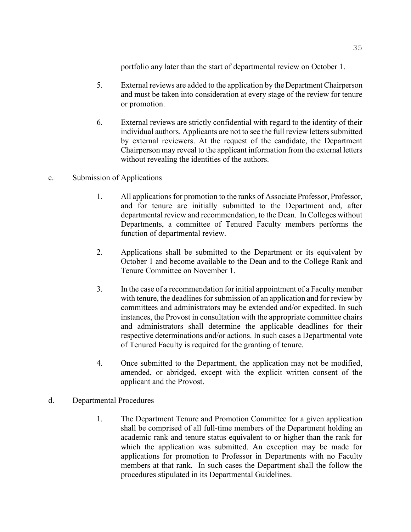portfolio any later than the start of departmental review on October 1.

- 5. External reviews are added to the application by the Department Chairperson and must be taken into consideration at every stage of the review for tenure or promotion.
- 6. External reviews are strictly confidential with regard to the identity of their individual authors. Applicants are not to see the full review letters submitted by external reviewers. At the request of the candidate, the Department Chairperson may reveal to the applicant information from the external letters without revealing the identities of the authors.

## c. Submission of Applications

- 1. All applications for promotion to the ranks of Associate Professor, Professor, and for tenure are initially submitted to the Department and, after departmental review and recommendation, to the Dean. In Colleges without Departments, a committee of Tenured Faculty members performs the function of departmental review.
- 2. Applications shall be submitted to the Department or its equivalent by October 1 and become available to the Dean and to the College Rank and Tenure Committee on November 1.
- 3. In the case of a recommendation for initial appointment of a Faculty member with tenure, the deadlines for submission of an application and for review by committees and administrators may be extended and/or expedited. In such instances, the Provost in consultation with the appropriate committee chairs and administrators shall determine the applicable deadlines for their respective determinations and/or actions. In such cases a Departmental vote of Tenured Faculty is required for the granting of tenure.
- 4. Once submitted to the Department, the application may not be modified, amended, or abridged, except with the explicit written consent of the applicant and the Provost.
- d. Departmental Procedures
	- 1. The Department Tenure and Promotion Committee for a given application shall be comprised of all full-time members of the Department holding an academic rank and tenure status equivalent to or higher than the rank for which the application was submitted. An exception may be made for applications for promotion to Professor in Departments with no Faculty members at that rank. In such cases the Department shall the follow the procedures stipulated in its Departmental Guidelines.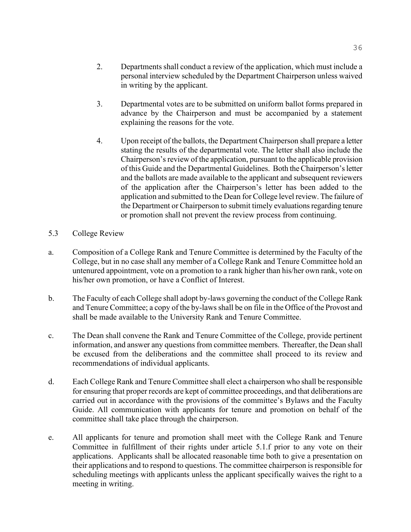- 3. Departmental votes are to be submitted on uniform ballot forms prepared in advance by the Chairperson and must be accompanied by a statement explaining the reasons for the vote.
- 4. Upon receipt of the ballots, the Department Chairperson shall prepare a letter stating the results of the departmental vote. The letter shall also include the Chairperson's review of the application, pursuant to the applicable provision of this Guide and the Departmental Guidelines. Both the Chairperson's letter and the ballots are made available to the applicant and subsequent reviewers of the application after the Chairperson's letter has been added to the application and submitted to the Dean for College level review. The failure of the Department or Chairperson to submit timely evaluations regarding tenure or promotion shall not prevent the review process from continuing.
- 5.3 College Review
- a. Composition of a College Rank and Tenure Committee is determined by the Faculty of the College, but in no case shall any member of a College Rank and Tenure Committee hold an untenured appointment, vote on a promotion to a rank higher than his/her own rank, vote on his/her own promotion, or have a Conflict of Interest.
- b. The Faculty of each College shall adopt by-laws governing the conduct of the College Rank and Tenure Committee; a copy of the by-laws shall be on file in the Office of the Provost and shall be made available to the University Rank and Tenure Committee.
- c. The Dean shall convene the Rank and Tenure Committee of the College, provide pertinent information, and answer any questions from committee members. Thereafter, the Dean shall be excused from the deliberations and the committee shall proceed to its review and recommendations of individual applicants.
- d. Each College Rank and Tenure Committee shall elect a chairperson who shall be responsible for ensuring that proper records are kept of committee proceedings, and that deliberations are carried out in accordance with the provisions of the committee's Bylaws and the Faculty Guide. All communication with applicants for tenure and promotion on behalf of the committee shall take place through the chairperson.
- e. All applicants for tenure and promotion shall meet with the College Rank and Tenure Committee in fulfillment of their rights under article 5.1.f prior to any vote on their applications. Applicants shall be allocated reasonable time both to give a presentation on their applications and to respond to questions. The committee chairperson is responsible for scheduling meetings with applicants unless the applicant specifically waives the right to a meeting in writing.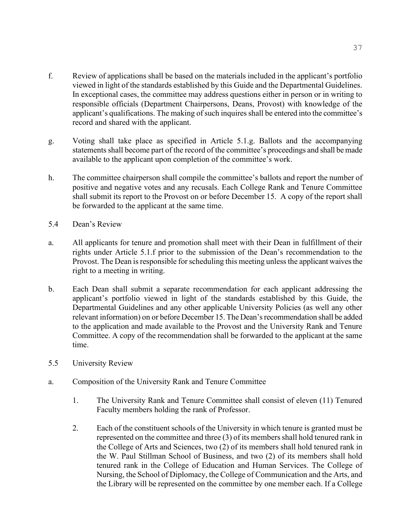- f. Review of applications shall be based on the materials included in the applicant's portfolio viewed in light of the standards established by this Guide and the Departmental Guidelines. In exceptional cases, the committee may address questions either in person or in writing to responsible officials (Department Chairpersons, Deans, Provost) with knowledge of the applicant's qualifications. The making of such inquires shall be entered into the committee's record and shared with the applicant.
- g. Voting shall take place as specified in Article 5.1.g. Ballots and the accompanying statements shall become part of the record of the committee's proceedings and shall be made available to the applicant upon completion of the committee's work.
- h. The committee chairperson shall compile the committee's ballots and report the number of positive and negative votes and any recusals. Each College Rank and Tenure Committee shall submit its report to the Provost on or before December 15. A copy of the report shall be forwarded to the applicant at the same time.
- 5.4 Dean's Review
- a. All applicants for tenure and promotion shall meet with their Dean in fulfillment of their rights under Article 5.1.f prior to the submission of the Dean's recommendation to the Provost. The Dean is responsible for scheduling this meeting unless the applicant waives the right to a meeting in writing.
- b. Each Dean shall submit a separate recommendation for each applicant addressing the applicant's portfolio viewed in light of the standards established by this Guide, the Departmental Guidelines and any other applicable University Policies (as well any other relevant information) on or before December 15. The Dean's recommendation shall be added to the application and made available to the Provost and the University Rank and Tenure Committee. A copy of the recommendation shall be forwarded to the applicant at the same time.
- 5.5 University Review
- a. Composition of the University Rank and Tenure Committee
	- 1. The University Rank and Tenure Committee shall consist of eleven (11) Tenured Faculty members holding the rank of Professor.
	- 2. Each of the constituent schools of the University in which tenure is granted must be represented on the committee and three (3) of its members shall hold tenured rank in the College of Arts and Sciences, two (2) of its members shall hold tenured rank in the W. Paul Stillman School of Business, and two (2) of its members shall hold tenured rank in the College of Education and Human Services. The College of Nursing, the School of Diplomacy, the College of Communication and the Arts, and the Library will be represented on the committee by one member each. If a College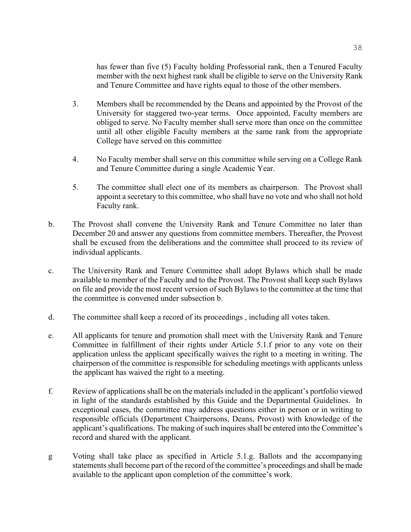has fewer than five (5) Faculty holding Professorial rank, then a Tenured Faculty member with the next highest rank shall be eligible to serve on the University Rank and Tenure Committee and have rights equal to those of the other members.

- 3. Members shall be recommended by the Deans and appointed by the Provost of the University for staggered two-year terms. Once appointed, Faculty members are obliged to serve. No Faculty member shall serve more than once on the committee until all other eligible Faculty members at the same rank from the appropriate College have served on this committee
- 4. No Faculty member shall serve on this committee while serving on a College Rank and Tenure Committee during a single Academic Year.
- 5. The committee shall elect one of its members as chairperson. The Provost shall appoint a secretary to this committee, who shall have no vote and who shall not hold Faculty rank.
- b. The Provost shall convene the University Rank and Tenure Committee no later than December 20 and answer any questions from committee members. Thereafter, the Provost shall be excused from the deliberations and the committee shall proceed to its review of individual applicants.
- c. The University Rank and Tenure Committee shall adopt Bylaws which shall be made available to member of the Faculty and to the Provost. The Provost shall keep such Bylaws on file and provide the most recent version of such Bylaws to the committee at the time that the committee is convened under subsection b.
- d. The committee shall keep a record of its proceedings , including all votes taken.
- e. All applicants for tenure and promotion shall meet with the University Rank and Tenure Committee in fulfillment of their rights under Article 5.1.f prior to any vote on their application unless the applicant specifically waives the right to a meeting in writing. The chairperson of the committee is responsible for scheduling meetings with applicants unless the applicant has waived the right to a meeting.
- f. Review of applications shall be on the materials included in the applicant's portfolio viewed in light of the standards established by this Guide and the Departmental Guidelines. In exceptional cases, the committee may address questions either in person or in writing to responsible officials (Department Chairpersons, Deans, Provost) with knowledge of the applicant's qualifications. The making of such inquires shall be entered into the Committee's record and shared with the applicant.
- g Voting shall take place as specified in Article 5.1.g. Ballots and the accompanying statements shall become part of the record of the committee's proceedings and shall be made available to the applicant upon completion of the committee's work.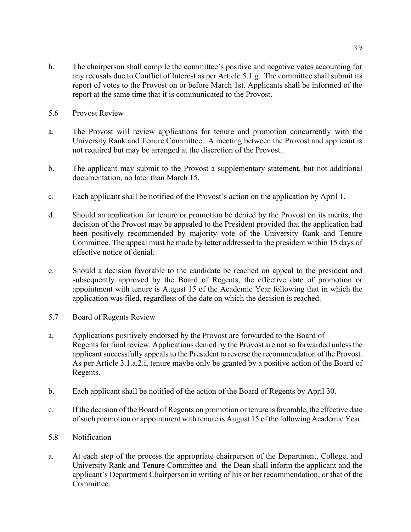- h. The chairperson shall compile the committee's positive and negative votes accounting for any recusals due to Conflict of Interest as per Article 5.1.g. The committee shall submit its report of votes to the Provost on or before March 1st. Applicants shall be informed of the report at the same time that it is communicated to the Provost.
- 5.6 Provost Review
- a. The Provost will review applications for tenure and promotion concurrently with the University Rank and Tenure Committee. A meeting between the Provost and applicant is not required but may be arranged at the discretion of the Provost.
- b. The applicant may submit to the Provost a supplementary statement, but not additional documentation, no later than March 15.
- c. Each applicant shall be notified of the Provost's action on the application by April 1.
- d. Should an application for tenure or promotion be denied by the Provost on its merits, the decision of the Provost may be appealed to the President provided that the application had been positively recommended by majority vote of the University Rank and Tenure Committee. The appeal must be made by letter addressed to the president within 15 days of effective notice of denial.
- e. Should a decision favorable to the candidate be reached on appeal to the president and subsequently approved by the Board of Regents, the effective date of promotion or appointment with tenure is August 15 of the Academic Year following that in which the application was filed, regardless of the date on which the decision is reached.
- 5.7 Board of Regents Review
- a. Applications positively endorsed by the Provost are forwarded to the Board of Regents for final review. Applications denied by the Provost are not so forwarded unless the applicant successfully appeals to the President to reverse the recommendation of the Provost. As per Article 3.1.a.2.i, tenure maybe only be granted by a positive action of the Board of Regents.
- b. Each applicant shall be notified of the action of the Board of Regents by April 30.
- c. If the decision of the Board of Regents on promotion or tenure is favorable, the effective date of such promotion or appointment with tenure is August 15 of the following Academic Year.
- 5.8 Notification
- a. At each step of the process the appropriate chairperson of the Department, College, and University Rank and Tenure Committee and the Dean shall inform the applicant and the applicant's Department Chairperson in writing of his or her recommendation, or that of the Committee.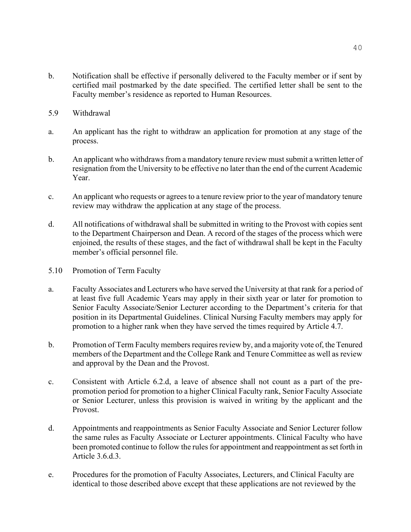- b. Notification shall be effective if personally delivered to the Faculty member or if sent by certified mail postmarked by the date specified. The certified letter shall be sent to the Faculty member's residence as reported to Human Resources.
- 5.9 Withdrawal
- a. An applicant has the right to withdraw an application for promotion at any stage of the process.
- b. An applicant who withdraws from a mandatory tenure review must submit a written letter of resignation from the University to be effective no later than the end of the current Academic Year.
- c. An applicant who requests or agrees to a tenure review prior to the year of mandatory tenure review may withdraw the application at any stage of the process.
- d. All notifications of withdrawal shall be submitted in writing to the Provost with copies sent to the Department Chairperson and Dean. A record of the stages of the process which were enjoined, the results of these stages, and the fact of withdrawal shall be kept in the Faculty member's official personnel file.
- 5.10 Promotion of Term Faculty
- a. Faculty Associates and Lecturers who have served the University at that rank for a period of at least five full Academic Years may apply in their sixth year or later for promotion to Senior Faculty Associate/Senior Lecturer according to the Department's criteria for that position in its Departmental Guidelines. Clinical Nursing Faculty members may apply for promotion to a higher rank when they have served the times required by Article 4.7.
- b. Promotion of Term Faculty members requires review by, and a majority vote of, the Tenured members of the Department and the College Rank and Tenure Committee as well as review and approval by the Dean and the Provost.
- c. Consistent with Article 6.2.d, a leave of absence shall not count as a part of the prepromotion period for promotion to a higher Clinical Faculty rank, Senior Faculty Associate or Senior Lecturer, unless this provision is waived in writing by the applicant and the Provost.
- d. Appointments and reappointments as Senior Faculty Associate and Senior Lecturer follow the same rules as Faculty Associate or Lecturer appointments. Clinical Faculty who have been promoted continue to follow the rules for appointment and reappointment as set forth in Article 3.6.d.3.
- e. Procedures for the promotion of Faculty Associates, Lecturers, and Clinical Faculty are identical to those described above except that these applications are not reviewed by the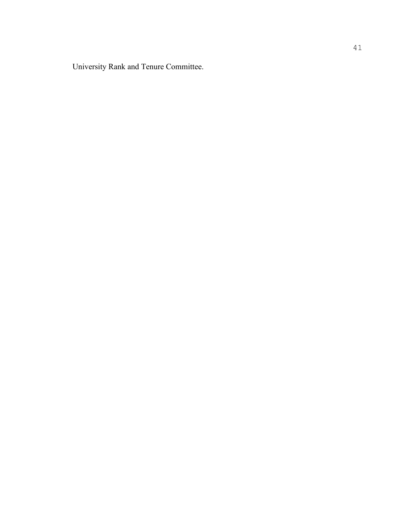University Rank and Tenure Committee.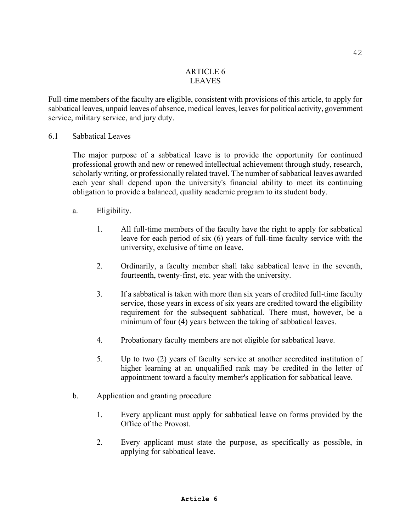## ARTICLE 6 LEAVES

Full-time members of the faculty are eligible, consistent with provisions of this article, to apply for sabbatical leaves, unpaid leaves of absence, medical leaves, leaves for political activity, government service, military service, and jury duty.

6.1 Sabbatical Leaves

The major purpose of a sabbatical leave is to provide the opportunity for continued professional growth and new or renewed intellectual achievement through study, research, scholarly writing, or professionally related travel. The number of sabbatical leaves awarded each year shall depend upon the university's financial ability to meet its continuing obligation to provide a balanced, quality academic program to its student body.

- a. Eligibility.
	- 1. All full-time members of the faculty have the right to apply for sabbatical leave for each period of six (6) years of full-time faculty service with the university, exclusive of time on leave.
	- 2. Ordinarily, a faculty member shall take sabbatical leave in the seventh, fourteenth, twenty-first, etc. year with the university.
	- 3. If a sabbatical is taken with more than six years of credited full-time faculty service, those years in excess of six years are credited toward the eligibility requirement for the subsequent sabbatical. There must, however, be a minimum of four (4) years between the taking of sabbatical leaves.
	- 4. Probationary faculty members are not eligible for sabbatical leave.
	- 5. Up to two (2) years of faculty service at another accredited institution of higher learning at an unqualified rank may be credited in the letter of appointment toward a faculty member's application for sabbatical leave.
- b. Application and granting procedure
	- 1. Every applicant must apply for sabbatical leave on forms provided by the Office of the Provost.
	- 2. Every applicant must state the purpose, as specifically as possible, in applying for sabbatical leave.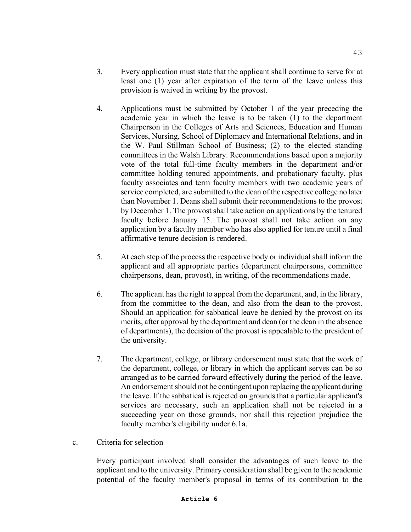- 3. Every application must state that the applicant shall continue to serve for at least one (1) year after expiration of the term of the leave unless this provision is waived in writing by the provost.
- 4. Applications must be submitted by October 1 of the year preceding the academic year in which the leave is to be taken (1) to the department Chairperson in the Colleges of Arts and Sciences, Education and Human Services, Nursing, School of Diplomacy and International Relations, and in the W. Paul Stillman School of Business; (2) to the elected standing committees in the Walsh Library. Recommendations based upon a majority vote of the total full-time faculty members in the department and/or committee holding tenured appointments, and probationary faculty, plus faculty associates and term faculty members with two academic years of service completed, are submitted to the dean of the respective college no later than November 1. Deans shall submit their recommendations to the provost by December 1. The provost shall take action on applications by the tenured faculty before January 15. The provost shall not take action on any application by a faculty member who has also applied for tenure until a final affirmative tenure decision is rendered.
- 5. At each step of the process the respective body or individual shall inform the applicant and all appropriate parties (department chairpersons, committee chairpersons, dean, provost), in writing, of the recommendations made.
- 6. The applicant has the right to appeal from the department, and, in the library, from the committee to the dean, and also from the dean to the provost. Should an application for sabbatical leave be denied by the provost on its merits, after approval by the department and dean (or the dean in the absence of departments), the decision of the provost is appealable to the president of the university.
- 7. The department, college, or library endorsement must state that the work of the department, college, or library in which the applicant serves can be so arranged as to be carried forward effectively during the period of the leave. An endorsement should not be contingent upon replacing the applicant during the leave. If the sabbatical is rejected on grounds that a particular applicant's services are necessary, such an application shall not be rejected in a succeeding year on those grounds, nor shall this rejection prejudice the faculty member's eligibility under 6.1a.
- c. Criteria for selection

Every participant involved shall consider the advantages of such leave to the applicant and to the university. Primary consideration shall be given to the academic potential of the faculty member's proposal in terms of its contribution to the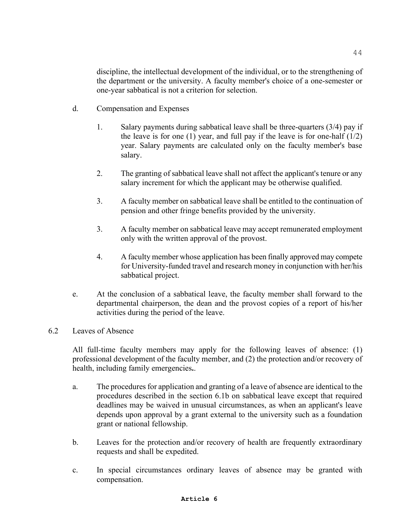discipline, the intellectual development of the individual, or to the strengthening of the department or the university. A faculty member's choice of a one-semester or one-year sabbatical is not a criterion for selection.

- d. Compensation and Expenses
	- 1. Salary payments during sabbatical leave shall be three-quarters (3/4) pay if the leave is for one (1) year, and full pay if the leave is for one-half  $(1/2)$ year. Salary payments are calculated only on the faculty member's base salary.
	- 2. The granting of sabbatical leave shall not affect the applicant's tenure or any salary increment for which the applicant may be otherwise qualified.
	- 3. A faculty member on sabbatical leave shall be entitled to the continuation of pension and other fringe benefits provided by the university.
	- 3. A faculty member on sabbatical leave may accept remunerated employment only with the written approval of the provost.
	- 4. A faculty member whose application has been finally approved may compete for University-funded travel and research money in conjunction with her/his sabbatical project.
- e. At the conclusion of a sabbatical leave, the faculty member shall forward to the departmental chairperson, the dean and the provost copies of a report of his/her activities during the period of the leave.

# 6.2 Leaves of Absence

All full-time faculty members may apply for the following leaves of absence: (1) professional development of the faculty member, and (2) the protection and/or recovery of health, including family emergencies**.**.

- a. The procedures for application and granting of a leave of absence are identical to the procedures described in the section 6.1b on sabbatical leave except that required deadlines may be waived in unusual circumstances, as when an applicant's leave depends upon approval by a grant external to the university such as a foundation grant or national fellowship.
- b. Leaves for the protection and/or recovery of health are frequently extraordinary requests and shall be expedited.
- c. In special circumstances ordinary leaves of absence may be granted with compensation.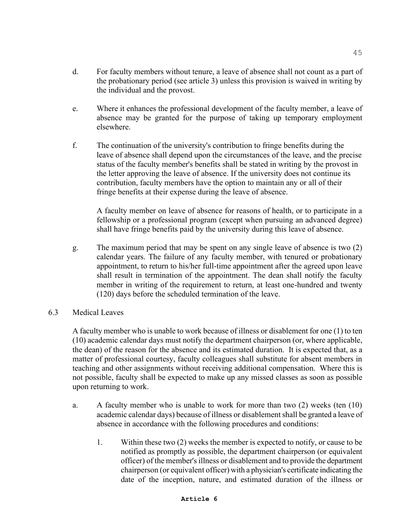- d. For faculty members without tenure, a leave of absence shall not count as a part of the probationary period (see article 3) unless this provision is waived in writing by the individual and the provost.
- e. Where it enhances the professional development of the faculty member, a leave of absence may be granted for the purpose of taking up temporary employment elsewhere.
- f. The continuation of the university's contribution to fringe benefits during the leave of absence shall depend upon the circumstances of the leave, and the precise status of the faculty member's benefits shall be stated in writing by the provost in the letter approving the leave of absence. If the university does not continue its contribution, faculty members have the option to maintain any or all of their fringe benefits at their expense during the leave of absence.

A faculty member on leave of absence for reasons of health, or to participate in a fellowship or a professional program (except when pursuing an advanced degree) shall have fringe benefits paid by the university during this leave of absence.

- g. The maximum period that may be spent on any single leave of absence is two (2) calendar years. The failure of any faculty member, with tenured or probationary appointment, to return to his/her full-time appointment after the agreed upon leave shall result in termination of the appointment. The dean shall notify the faculty member in writing of the requirement to return, at least one-hundred and twenty (120) days before the scheduled termination of the leave.
- 6.3 Medical Leaves

A faculty member who is unable to work because of illness or disablement for one (1) to ten (10) academic calendar days must notify the department chairperson (or, where applicable, the dean) of the reason for the absence and its estimated duration. It is expected that, as a matter of professional courtesy, faculty colleagues shall substitute for absent members in teaching and other assignments without receiving additional compensation. Where this is not possible, faculty shall be expected to make up any missed classes as soon as possible upon returning to work.

- a. A faculty member who is unable to work for more than two (2) weeks (ten (10) academic calendar days) because of illness or disablement shall be granted a leave of absence in accordance with the following procedures and conditions:
	- 1. Within these two (2) weeks the member is expected to notify, or cause to be notified as promptly as possible, the department chairperson (or equivalent officer) of the member's illness or disablement and to provide the department chairperson (or equivalent officer) with a physician's certificate indicating the date of the inception, nature, and estimated duration of the illness or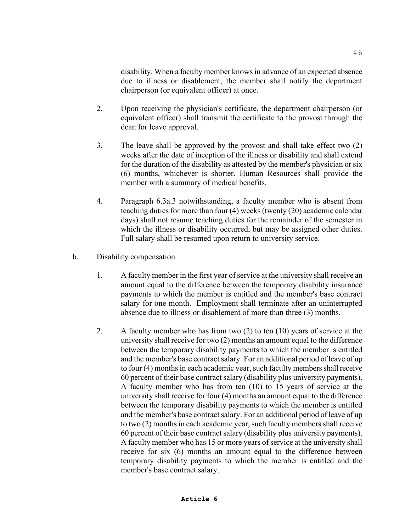disability. When a faculty member knows in advance of an expected absence due to illness or disablement, the member shall notify the department chairperson (or equivalent officer) at once.

- 2. Upon receiving the physician's certificate, the department chairperson (or equivalent officer) shall transmit the certificate to the provost through the dean for leave approval.
- 3. The leave shall be approved by the provost and shall take effect two (2) weeks after the date of inception of the illness or disability and shall extend for the duration of the disability as attested by the member's physician or six (6) months, whichever is shorter. Human Resources shall provide the member with a summary of medical benefits.
- 4. Paragraph 6.3a.3 notwithstanding, a faculty member who is absent from teaching duties for more than four (4) weeks (twenty (20) academic calendar days) shall not resume teaching duties for the remainder of the semester in which the illness or disability occurred, but may be assigned other duties. Full salary shall be resumed upon return to university service.
- b. Disability compensation
	- 1. A faculty member in the first year of service at the university shall receive an amount equal to the difference between the temporary disability insurance payments to which the member is entitled and the member's base contract salary for one month. Employment shall terminate after an uninterrupted absence due to illness or disablement of more than three (3) months.
	- 2. A faculty member who has from two (2) to ten (10) years of service at the university shall receive for two (2) months an amount equal to the difference between the temporary disability payments to which the member is entitled and the member's base contract salary. For an additional period of leave of up to four (4) months in each academic year, such faculty members shall receive 60 percent of their base contract salary (disability plus university payments). A faculty member who has from ten (10) to 15 years of service at the university shall receive for four (4) months an amount equal to the difference between the temporary disability payments to which the member is entitled and the member's base contract salary. For an additional period of leave of up to two (2) months in each academic year, such faculty members shall receive 60 percent of their base contract salary (disability plus university payments). A faculty member who has 15 or more years of service at the university shall receive for six (6) months an amount equal to the difference between temporary disability payments to which the member is entitled and the member's base contract salary.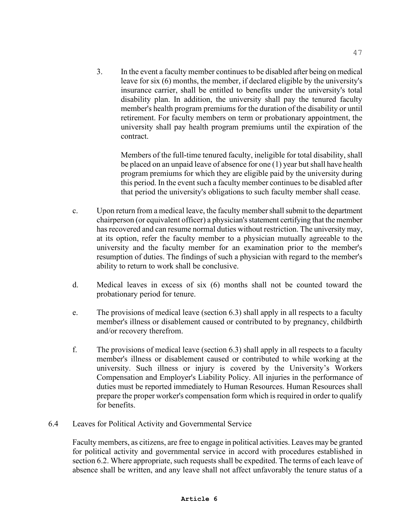3. In the event a faculty member continues to be disabled after being on medical leave for six (6) months, the member, if declared eligible by the university's insurance carrier, shall be entitled to benefits under the university's total disability plan. In addition, the university shall pay the tenured faculty member's health program premiums for the duration of the disability or until retirement. For faculty members on term or probationary appointment, the university shall pay health program premiums until the expiration of the contract.

Members of the full-time tenured faculty, ineligible for total disability, shall be placed on an unpaid leave of absence for one (1) year but shall have health program premiums for which they are eligible paid by the university during this period. In the event such a faculty member continues to be disabled after that period the university's obligations to such faculty member shall cease.

- c. Upon return from a medical leave, the faculty member shall submit to the department chairperson (or equivalent officer) a physician's statement certifying that the member has recovered and can resume normal duties without restriction. The university may, at its option, refer the faculty member to a physician mutually agreeable to the university and the faculty member for an examination prior to the member's resumption of duties. The findings of such a physician with regard to the member's ability to return to work shall be conclusive.
- d. Medical leaves in excess of six (6) months shall not be counted toward the probationary period for tenure.
- e. The provisions of medical leave (section 6.3) shall apply in all respects to a faculty member's illness or disablement caused or contributed to by pregnancy, childbirth and/or recovery therefrom.
- f. The provisions of medical leave (section 6.3) shall apply in all respects to a faculty member's illness or disablement caused or contributed to while working at the university. Such illness or injury is covered by the University's Workers Compensation and Employer's Liability Policy. All injuries in the performance of duties must be reported immediately to Human Resources. Human Resources shall prepare the proper worker's compensation form which is required in order to qualify for benefits.
- 6.4 Leaves for Political Activity and Governmental Service

Faculty members, as citizens, are free to engage in political activities. Leaves may be granted for political activity and governmental service in accord with procedures established in section 6.2. Where appropriate, such requests shall be expedited. The terms of each leave of absence shall be written, and any leave shall not affect unfavorably the tenure status of a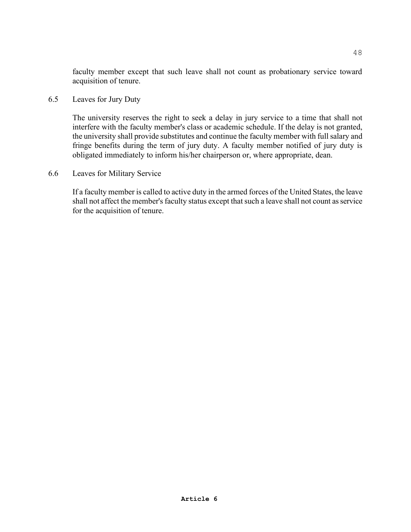faculty member except that such leave shall not count as probationary service toward acquisition of tenure.

6.5 Leaves for Jury Duty

The university reserves the right to seek a delay in jury service to a time that shall not interfere with the faculty member's class or academic schedule. If the delay is not granted, the university shall provide substitutes and continue the faculty member with full salary and fringe benefits during the term of jury duty. A faculty member notified of jury duty is obligated immediately to inform his/her chairperson or, where appropriate, dean.

6.6 Leaves for Military Service

If a faculty member is called to active duty in the armed forces of the United States, the leave shall not affect the member's faculty status except that such a leave shall not count as service for the acquisition of tenure.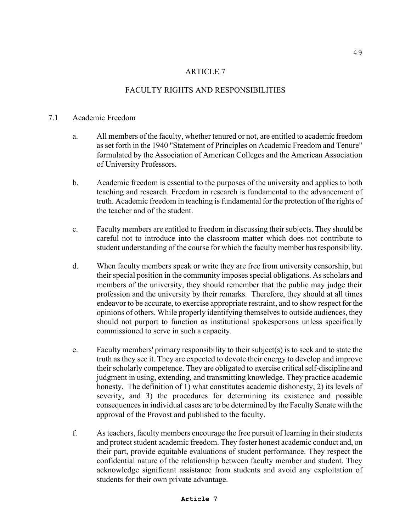# FACULTY RIGHTS AND RESPONSIBILITIES

### 7.1 Academic Freedom

- a. All members of the faculty, whether tenured or not, are entitled to academic freedom as set forth in the 1940 "Statement of Principles on Academic Freedom and Tenure" formulated by the Association of American Colleges and the American Association of University Professors.
- b. Academic freedom is essential to the purposes of the university and applies to both teaching and research. Freedom in research is fundamental to the advancement of truth. Academic freedom in teaching is fundamental for the protection of the rights of the teacher and of the student.
- c. Faculty members are entitled to freedom in discussing their subjects. They should be careful not to introduce into the classroom matter which does not contribute to student understanding of the course for which the faculty member has responsibility.
- d. When faculty members speak or write they are free from university censorship, but their special position in the community imposes special obligations. As scholars and members of the university, they should remember that the public may judge their profession and the university by their remarks. Therefore, they should at all times endeavor to be accurate, to exercise appropriate restraint, and to show respect for the opinions of others. While properly identifying themselves to outside audiences, they should not purport to function as institutional spokespersons unless specifically commissioned to serve in such a capacity.
- e. Faculty members' primary responsibility to their subject(s) is to seek and to state the truth as they see it. They are expected to devote their energy to develop and improve their scholarly competence. They are obligated to exercise critical self-discipline and judgment in using, extending, and transmitting knowledge. They practice academic honesty. The definition of 1) what constitutes academic dishonesty, 2) its levels of severity, and 3) the procedures for determining its existence and possible consequences in individual cases are to be determined by the Faculty Senate with the approval of the Provost and published to the faculty.
- f. As teachers, faculty members encourage the free pursuit of learning in their students and protect student academic freedom. They foster honest academic conduct and, on their part, provide equitable evaluations of student performance. They respect the confidential nature of the relationship between faculty member and student. They acknowledge significant assistance from students and avoid any exploitation of students for their own private advantage.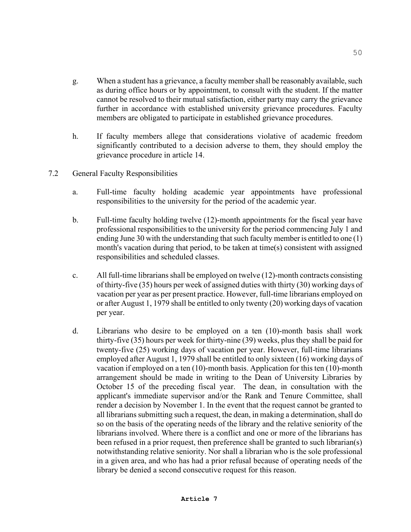- g. When a student has a grievance, a faculty member shall be reasonably available, such as during office hours or by appointment, to consult with the student. If the matter cannot be resolved to their mutual satisfaction, either party may carry the grievance further in accordance with established university grievance procedures. Faculty members are obligated to participate in established grievance procedures.
- h. If faculty members allege that considerations violative of academic freedom significantly contributed to a decision adverse to them, they should employ the grievance procedure in article 14.
- 7.2 General Faculty Responsibilities
	- a. Full-time faculty holding academic year appointments have professional responsibilities to the university for the period of the academic year.
	- b. Full-time faculty holding twelve (12)-month appointments for the fiscal year have professional responsibilities to the university for the period commencing July 1 and ending June 30 with the understanding that such faculty member is entitled to one (1) month's vacation during that period, to be taken at time(s) consistent with assigned responsibilities and scheduled classes.
	- c. All full-time librarians shall be employed on twelve (12)-month contracts consisting of thirty-five (35) hours per week of assigned duties with thirty (30) working days of vacation per year as per present practice. However, full-time librarians employed on or after August 1, 1979 shall be entitled to only twenty (20) working days of vacation per year.
	- d. Librarians who desire to be employed on a ten (10)-month basis shall work thirty-five (35) hours per week for thirty-nine (39) weeks, plus they shall be paid for twenty-five (25) working days of vacation per year. However, full-time librarians employed after August 1, 1979 shall be entitled to only sixteen (16) working days of vacation if employed on a ten (10)-month basis. Application for this ten (10)-month arrangement should be made in writing to the Dean of University Libraries by October 15 of the preceding fiscal year. The dean, in consultation with the applicant's immediate supervisor and/or the Rank and Tenure Committee, shall render a decision by November 1. In the event that the request cannot be granted to all librarians submitting such a request, the dean, in making a determination, shall do so on the basis of the operating needs of the library and the relative seniority of the librarians involved. Where there is a conflict and one or more of the librarians has been refused in a prior request, then preference shall be granted to such librarian(s) notwithstanding relative seniority. Nor shall a librarian who is the sole professional in a given area, and who has had a prior refusal because of operating needs of the library be denied a second consecutive request for this reason.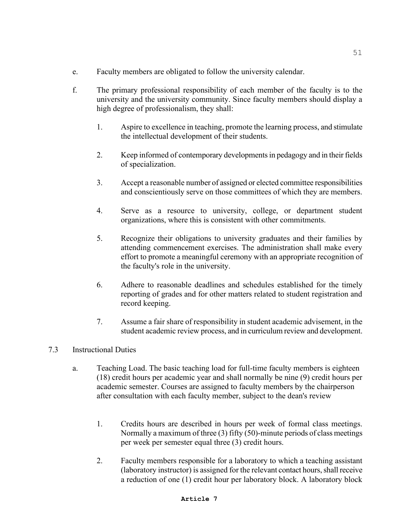- e. Faculty members are obligated to follow the university calendar.
- f. The primary professional responsibility of each member of the faculty is to the university and the university community. Since faculty members should display a high degree of professionalism, they shall:
	- 1. Aspire to excellence in teaching, promote the learning process, and stimulate the intellectual development of their students.
	- 2. Keep informed of contemporary developments in pedagogy and in their fields of specialization.
	- 3. Accept a reasonable number of assigned or elected committee responsibilities and conscientiously serve on those committees of which they are members.
	- 4. Serve as a resource to university, college, or department student organizations, where this is consistent with other commitments.
	- 5. Recognize their obligations to university graduates and their families by attending commencement exercises. The administration shall make every effort to promote a meaningful ceremony with an appropriate recognition of the faculty's role in the university.
	- 6. Adhere to reasonable deadlines and schedules established for the timely reporting of grades and for other matters related to student registration and record keeping.
	- 7. Assume a fair share of responsibility in student academic advisement, in the student academic review process, and in curriculum review and development.
- 7.3 Instructional Duties
	- a. Teaching Load. The basic teaching load for full-time faculty members is eighteen (18) credit hours per academic year and shall normally be nine (9) credit hours per academic semester. Courses are assigned to faculty members by the chairperson after consultation with each faculty member, subject to the dean's review
		- 1. Credits hours are described in hours per week of formal class meetings. Normally a maximum of three (3) fifty (50)-minute periods of class meetings per week per semester equal three (3) credit hours.
		- 2. Faculty members responsible for a laboratory to which a teaching assistant (laboratory instructor) is assigned for the relevant contact hours, shall receive a reduction of one (1) credit hour per laboratory block. A laboratory block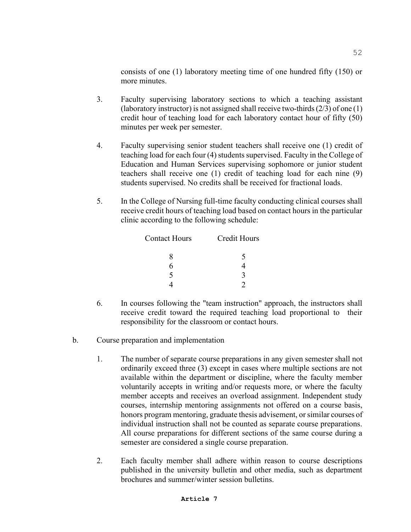consists of one (1) laboratory meeting time of one hundred fifty (150) or more minutes.

- 3. Faculty supervising laboratory sections to which a teaching assistant (laboratory instructor) is not assigned shall receive two-thirds (2/3) of one (1) credit hour of teaching load for each laboratory contact hour of fifty (50) minutes per week per semester.
- 4. Faculty supervising senior student teachers shall receive one (1) credit of teaching load for each four (4) students supervised. Faculty in the College of Education and Human Services supervising sophomore or junior student teachers shall receive one (1) credit of teaching load for each nine (9) students supervised. No credits shall be received for fractional loads.
- 5. In the College of Nursing full-time faculty conducting clinical courses shall receive credit hours of teaching load based on contact hours in the particular clinic according to the following schedule:

| <b>Contact Hours</b> | <b>Credit Hours</b> |
|----------------------|---------------------|
| 8                    | 5                   |
| 6                    |                     |
| 5                    | ζ                   |
|                      |                     |

- 6. In courses following the "team instruction" approach, the instructors shall receive credit toward the required teaching load proportional to their responsibility for the classroom or contact hours.
- b. Course preparation and implementation
	- 1. The number of separate course preparations in any given semester shall not ordinarily exceed three (3) except in cases where multiple sections are not available within the department or discipline, where the faculty member voluntarily accepts in writing and/or requests more, or where the faculty member accepts and receives an overload assignment. Independent study courses, internship mentoring assignments not offered on a course basis, honors program mentoring, graduate thesis advisement, or similar courses of individual instruction shall not be counted as separate course preparations. All course preparations for different sections of the same course during a semester are considered a single course preparation.
	- 2. Each faculty member shall adhere within reason to course descriptions published in the university bulletin and other media, such as department brochures and summer/winter session bulletins.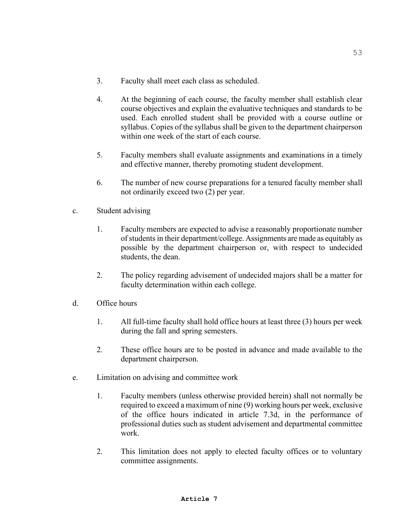- 3. Faculty shall meet each class as scheduled.
- 4. At the beginning of each course, the faculty member shall establish clear course objectives and explain the evaluative techniques and standards to be used. Each enrolled student shall be provided with a course outline or syllabus. Copies of the syllabus shall be given to the department chairperson within one week of the start of each course.
- 5. Faculty members shall evaluate assignments and examinations in a timely and effective manner, thereby promoting student development.
- 6. The number of new course preparations for a tenured faculty member shall not ordinarily exceed two (2) per year.
- c. Student advising
	- 1. Faculty members are expected to advise a reasonably proportionate number of students in their department/college. Assignments are made as equitably as possible by the department chairperson or, with respect to undecided students, the dean.
	- 2. The policy regarding advisement of undecided majors shall be a matter for faculty determination within each college.
- d. Office hours
	- 1. All full-time faculty shall hold office hours at least three (3) hours per week during the fall and spring semesters.
	- 2. These office hours are to be posted in advance and made available to the department chairperson.
- e. Limitation on advising and committee work
	- 1. Faculty members (unless otherwise provided herein) shall not normally be required to exceed a maximum of nine (9) working hours per week, exclusive of the office hours indicated in article 7.3d, in the performance of professional duties such as student advisement and departmental committee work.
	- 2. This limitation does not apply to elected faculty offices or to voluntary committee assignments.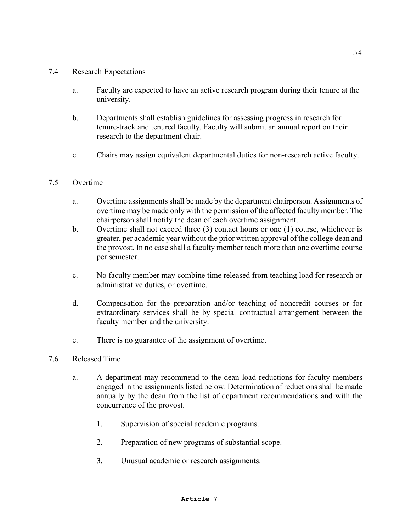### 7.4 Research Expectations

- a. Faculty are expected to have an active research program during their tenure at the university.
- b. Departments shall establish guidelines for assessing progress in research for tenure-track and tenured faculty. Faculty will submit an annual report on their research to the department chair.
- c. Chairs may assign equivalent departmental duties for non-research active faculty.

# 7.5 Overtime

- a. Overtime assignments shall be made by the department chairperson. Assignments of overtime may be made only with the permission of the affected faculty member. The chairperson shall notify the dean of each overtime assignment.
- b. Overtime shall not exceed three (3) contact hours or one (1) course, whichever is greater, per academic year without the prior written approval of the college dean and the provost. In no case shall a faculty member teach more than one overtime course per semester.
- c. No faculty member may combine time released from teaching load for research or administrative duties, or overtime.
- d. Compensation for the preparation and/or teaching of noncredit courses or for extraordinary services shall be by special contractual arrangement between the faculty member and the university.
- e. There is no guarantee of the assignment of overtime.
- 7.6 Released Time
	- a. A department may recommend to the dean load reductions for faculty members engaged in the assignments listed below. Determination of reductions shall be made annually by the dean from the list of department recommendations and with the concurrence of the provost.
		- 1. Supervision of special academic programs.
		- 2. Preparation of new programs of substantial scope.
		- 3. Unusual academic or research assignments.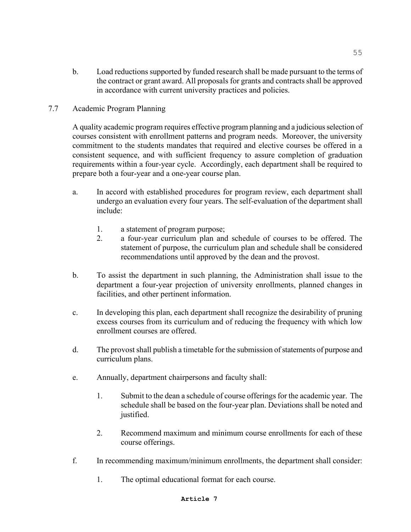- b. Load reductions supported by funded research shall be made pursuant to the terms of the contract or grant award. All proposals for grants and contracts shall be approved in accordance with current university practices and policies.
- 7.7 Academic Program Planning

A quality academic program requires effective program planning and a judicious selection of courses consistent with enrollment patterns and program needs. Moreover, the university commitment to the students mandates that required and elective courses be offered in a consistent sequence, and with sufficient frequency to assure completion of graduation requirements within a four-year cycle. Accordingly, each department shall be required to prepare both a four-year and a one-year course plan.

- a. In accord with established procedures for program review, each department shall undergo an evaluation every four years. The self-evaluation of the department shall include:
	- 1. a statement of program purpose;<br>
	2 a four-vear curriculum plan and
	- 2. a four-year curriculum plan and schedule of courses to be offered. The statement of purpose, the curriculum plan and schedule shall be considered recommendations until approved by the dean and the provost.
- b. To assist the department in such planning, the Administration shall issue to the department a four-year projection of university enrollments, planned changes in facilities, and other pertinent information.
- c. In developing this plan, each department shall recognize the desirability of pruning excess courses from its curriculum and of reducing the frequency with which low enrollment courses are offered.
- d. The provost shall publish a timetable for the submission of statements of purpose and curriculum plans.
- e. Annually, department chairpersons and faculty shall:
	- 1. Submit to the dean a schedule of course offerings for the academic year. The schedule shall be based on the four-year plan. Deviations shall be noted and justified.
	- 2. Recommend maximum and minimum course enrollments for each of these course offerings.
- f. In recommending maximum/minimum enrollments, the department shall consider:
	- 1. The optimal educational format for each course.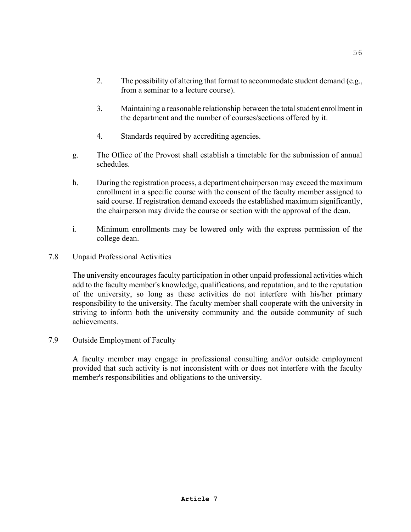- 2. The possibility of altering that format to accommodate student demand (e.g., from a seminar to a lecture course).
- 3. Maintaining a reasonable relationship between the total student enrollment in the department and the number of courses/sections offered by it.
- 4. Standards required by accrediting agencies.
- g. The Office of the Provost shall establish a timetable for the submission of annual schedules.
- h. During the registration process, a department chairperson may exceed the maximum enrollment in a specific course with the consent of the faculty member assigned to said course. If registration demand exceeds the established maximum significantly, the chairperson may divide the course or section with the approval of the dean.
- i. Minimum enrollments may be lowered only with the express permission of the college dean.
- 7.8 Unpaid Professional Activities

The university encourages faculty participation in other unpaid professional activities which add to the faculty member's knowledge, qualifications, and reputation, and to the reputation of the university, so long as these activities do not interfere with his/her primary responsibility to the university. The faculty member shall cooperate with the university in striving to inform both the university community and the outside community of such achievements.

## 7.9 Outside Employment of Faculty

A faculty member may engage in professional consulting and/or outside employment provided that such activity is not inconsistent with or does not interfere with the faculty member's responsibilities and obligations to the university.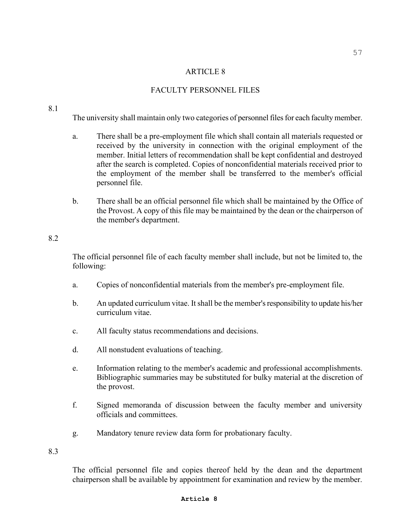## FACULTY PERSONNEL FILES

#### 8.1

The university shall maintain only two categories of personnel files for each faculty member.

- a. There shall be a pre-employment file which shall contain all materials requested or received by the university in connection with the original employment of the member. Initial letters of recommendation shall be kept confidential and destroyed after the search is completed. Copies of nonconfidential materials received prior to the employment of the member shall be transferred to the member's official personnel file.
- b. There shall be an official personnel file which shall be maintained by the Office of the Provost. A copy of this file may be maintained by the dean or the chairperson of the member's department.

### 8.2

The official personnel file of each faculty member shall include, but not be limited to, the following:

- a. Copies of nonconfidential materials from the member's pre-employment file.
- b. An updated curriculum vitae. It shall be the member's responsibility to update his/her curriculum vitae.
- c. All faculty status recommendations and decisions.
- d. All nonstudent evaluations of teaching.
- e. Information relating to the member's academic and professional accomplishments. Bibliographic summaries may be substituted for bulky material at the discretion of the provost.
- f. Signed memoranda of discussion between the faculty member and university officials and committees.
- g. Mandatory tenure review data form for probationary faculty.

8.3

The official personnel file and copies thereof held by the dean and the department chairperson shall be available by appointment for examination and review by the member.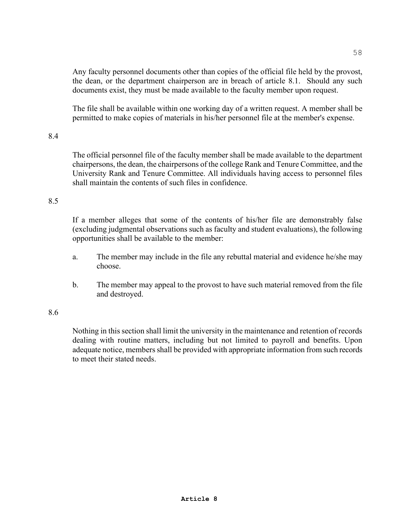Any faculty personnel documents other than copies of the official file held by the provost, the dean, or the department chairperson are in breach of article 8.1. Should any such documents exist, they must be made available to the faculty member upon request.

The file shall be available within one working day of a written request. A member shall be permitted to make copies of materials in his/her personnel file at the member's expense.

## 8.4

The official personnel file of the faculty member shall be made available to the department chairpersons, the dean, the chairpersons of the college Rank and Tenure Committee, and the University Rank and Tenure Committee. All individuals having access to personnel files shall maintain the contents of such files in confidence.

## 8.5

If a member alleges that some of the contents of his/her file are demonstrably false (excluding judgmental observations such as faculty and student evaluations), the following opportunities shall be available to the member:

- a. The member may include in the file any rebuttal material and evidence he/she may choose.
- b. The member may appeal to the provost to have such material removed from the file and destroyed.

### 8.6

Nothing in this section shall limit the university in the maintenance and retention of records dealing with routine matters, including but not limited to payroll and benefits. Upon adequate notice, members shall be provided with appropriate information from such records to meet their stated needs.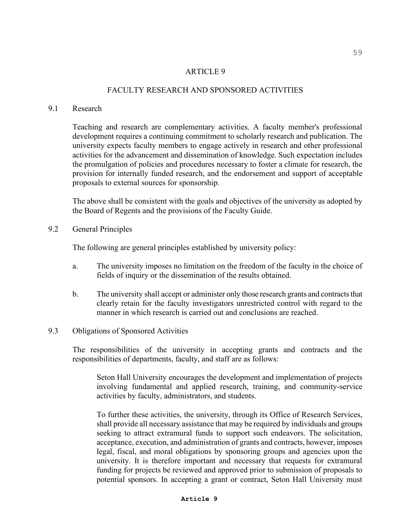## FACULTY RESEARCH AND SPONSORED ACTIVITIES

### 9.1 Research

Teaching and research are complementary activities. A faculty member's professional development requires a continuing commitment to scholarly research and publication. The university expects faculty members to engage actively in research and other professional activities for the advancement and dissemination of knowledge. Such expectation includes the promulgation of policies and procedures necessary to foster a climate for research, the provision for internally funded research, and the endorsement and support of acceptable proposals to external sources for sponsorship.

The above shall be consistent with the goals and objectives of the university as adopted by the Board of Regents and the provisions of the Faculty Guide.

9.2 General Principles

The following are general principles established by university policy:

- a. The university imposes no limitation on the freedom of the faculty in the choice of fields of inquiry or the dissemination of the results obtained.
- b. The university shall accept or administer only those research grants and contracts that clearly retain for the faculty investigators unrestricted control with regard to the manner in which research is carried out and conclusions are reached.

#### 9.3 Obligations of Sponsored Activities

The responsibilities of the university in accepting grants and contracts and the responsibilities of departments, faculty, and staff are as follows:

Seton Hall University encourages the development and implementation of projects involving fundamental and applied research, training, and community-service activities by faculty, administrators, and students.

To further these activities, the university, through its Office of Research Services, shall provide all necessary assistance that may be required by individuals and groups seeking to attract extramural funds to support such endeavors. The solicitation, acceptance, execution, and administration of grants and contracts, however, imposes legal, fiscal, and moral obligations by sponsoring groups and agencies upon the university. It is therefore important and necessary that requests for extramural funding for projects be reviewed and approved prior to submission of proposals to potential sponsors. In accepting a grant or contract, Seton Hall University must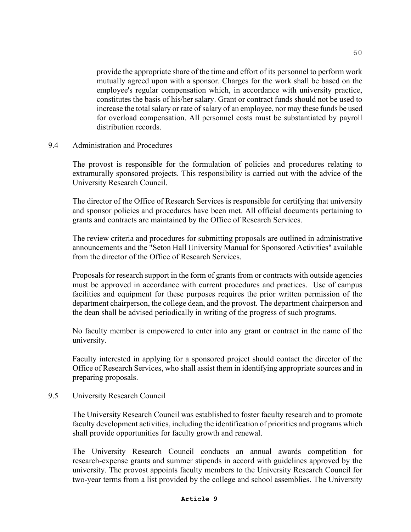provide the appropriate share of the time and effort of its personnel to perform work mutually agreed upon with a sponsor. Charges for the work shall be based on the employee's regular compensation which, in accordance with university practice, constitutes the basis of his/her salary. Grant or contract funds should not be used to increase the total salary or rate of salary of an employee, nor may these funds be used for overload compensation. All personnel costs must be substantiated by payroll distribution records.

9.4 Administration and Procedures

The provost is responsible for the formulation of policies and procedures relating to extramurally sponsored projects. This responsibility is carried out with the advice of the University Research Council.

The director of the Office of Research Services is responsible for certifying that university and sponsor policies and procedures have been met. All official documents pertaining to grants and contracts are maintained by the Office of Research Services.

 The review criteria and procedures for submitting proposals are outlined in administrative announcements and the "Seton Hall University Manual for Sponsored Activities" available from the director of the Office of Research Services.

Proposals for research support in the form of grants from or contracts with outside agencies must be approved in accordance with current procedures and practices. Use of campus facilities and equipment for these purposes requires the prior written permission of the department chairperson, the college dean, and the provost. The department chairperson and the dean shall be advised periodically in writing of the progress of such programs.

No faculty member is empowered to enter into any grant or contract in the name of the university.

Faculty interested in applying for a sponsored project should contact the director of the Office of Research Services, who shall assist them in identifying appropriate sources and in preparing proposals.

9.5 University Research Council

The University Research Council was established to foster faculty research and to promote faculty development activities, including the identification of priorities and programs which shall provide opportunities for faculty growth and renewal.

The University Research Council conducts an annual awards competition for research-expense grants and summer stipends in accord with guidelines approved by the university. The provost appoints faculty members to the University Research Council for two-year terms from a list provided by the college and school assemblies. The University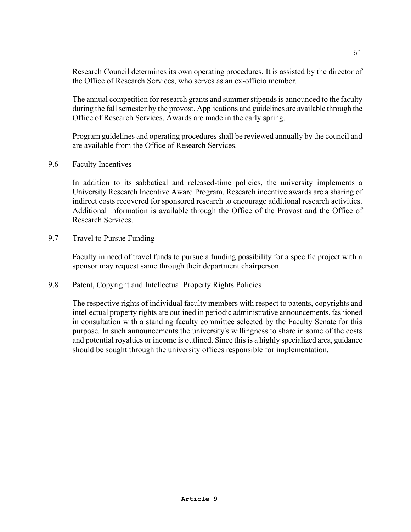Research Council determines its own operating procedures. It is assisted by the director of the Office of Research Services, who serves as an ex-officio member.

The annual competition for research grants and summer stipends is announced to the faculty during the fall semester by the provost. Applications and guidelines are available through the Office of Research Services. Awards are made in the early spring.

Program guidelines and operating procedures shall be reviewed annually by the council and are available from the Office of Research Services.

9.6 Faculty Incentives

In addition to its sabbatical and released-time policies, the university implements a University Research Incentive Award Program. Research incentive awards are a sharing of indirect costs recovered for sponsored research to encourage additional research activities. Additional information is available through the Office of the Provost and the Office of Research Services.

9.7 Travel to Pursue Funding

Faculty in need of travel funds to pursue a funding possibility for a specific project with a sponsor may request same through their department chairperson.

9.8 Patent, Copyright and Intellectual Property Rights Policies

The respective rights of individual faculty members with respect to patents, copyrights and intellectual property rights are outlined in periodic administrative announcements, fashioned in consultation with a standing faculty committee selected by the Faculty Senate for this purpose. In such announcements the university's willingness to share in some of the costs and potential royalties or income is outlined. Since this is a highly specialized area, guidance should be sought through the university offices responsible for implementation.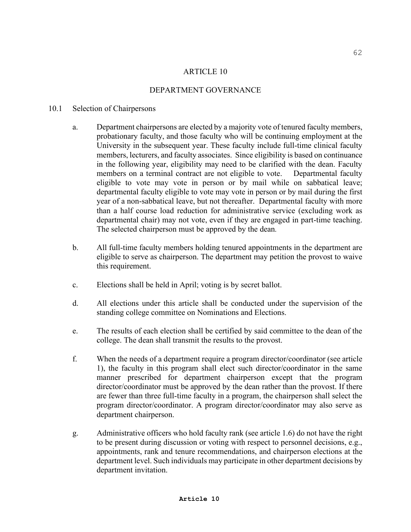## DEPARTMENT GOVERNANCE

### 10.1 Selection of Chairpersons

- a. Department chairpersons are elected by a majority vote of tenured faculty members, probationary faculty, and those faculty who will be continuing employment at the University in the subsequent year. These faculty include full-time clinical faculty members, lecturers, and faculty associates. Since eligibility is based on continuance in the following year, eligibility may need to be clarified with the dean. Faculty members on a terminal contract are not eligible to vote. Departmental faculty eligible to vote may vote in person or by mail while on sabbatical leave; departmental faculty eligible to vote may vote in person or by mail during the first year of a non-sabbatical leave, but not thereafter. Departmental faculty with more than a half course load reduction for administrative service (excluding work as departmental chair) may not vote, even if they are engaged in part-time teaching. The selected chairperson must be approved by the dean*.*
- b. All full-time faculty members holding tenured appointments in the department are eligible to serve as chairperson. The department may petition the provost to waive this requirement.
- c. Elections shall be held in April; voting is by secret ballot.
- d. All elections under this article shall be conducted under the supervision of the standing college committee on Nominations and Elections.
- e. The results of each election shall be certified by said committee to the dean of the college. The dean shall transmit the results to the provost.
- f. When the needs of a department require a program director/coordinator (see article 1), the faculty in this program shall elect such director/coordinator in the same manner prescribed for department chairperson except that the program director/coordinator must be approved by the dean rather than the provost. If there are fewer than three full-time faculty in a program, the chairperson shall select the program director/coordinator. A program director/coordinator may also serve as department chairperson.
- g. Administrative officers who hold faculty rank (see article 1.6) do not have the right to be present during discussion or voting with respect to personnel decisions, e.g., appointments, rank and tenure recommendations, and chairperson elections at the department level. Such individuals may participate in other department decisions by department invitation.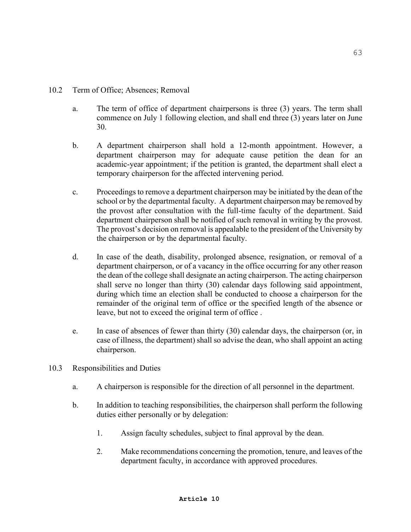- a. The term of office of department chairpersons is three (3) years. The term shall commence on July 1 following election, and shall end three (3) years later on June 30.
- b. A department chairperson shall hold a 12-month appointment. However, a department chairperson may for adequate cause petition the dean for an academic-year appointment; if the petition is granted, the department shall elect a temporary chairperson for the affected intervening period.
- c. Proceedings to remove a department chairperson may be initiated by the dean of the school or by the departmental faculty.A department chairperson may be removed by the provost after consultation with the full-time faculty of the department. Said department chairperson shall be notified of such removal in writing by the provost. The provost's decision on removal is appealable to the president of the University by the chairperson or by the departmental faculty.
- d. In case of the death, disability, prolonged absence, resignation, or removal of a department chairperson, or of a vacancy in the office occurring for any other reason the dean of the college shall designate an acting chairperson. The acting chairperson shall serve no longer than thirty (30) calendar days following said appointment, during which time an election shall be conducted to choose a chairperson for the remainder of the original term of office or the specified length of the absence or leave, but not to exceed the original term of office .
- e. In case of absences of fewer than thirty (30) calendar days, the chairperson (or, in case of illness, the department) shall so advise the dean, who shall appoint an acting chairperson.
- 10.3 Responsibilities and Duties
	- a. A chairperson is responsible for the direction of all personnel in the department.
	- b. In addition to teaching responsibilities, the chairperson shall perform the following duties either personally or by delegation:
		- 1. Assign faculty schedules, subject to final approval by the dean.
		- 2. Make recommendations concerning the promotion, tenure, and leaves of the department faculty, in accordance with approved procedures.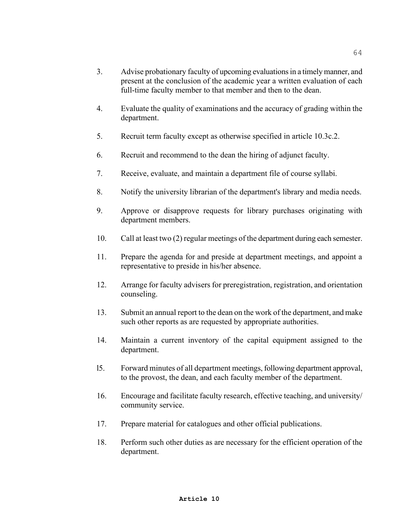- 3. Advise probationary faculty of upcoming evaluations in a timely manner, and present at the conclusion of the academic year a written evaluation of each full-time faculty member to that member and then to the dean.
- 4. Evaluate the quality of examinations and the accuracy of grading within the department.
- 5. Recruit term faculty except as otherwise specified in article 10.3c.2.
- 6. Recruit and recommend to the dean the hiring of adjunct faculty.
- 7. Receive, evaluate, and maintain a department file of course syllabi.
- 8. Notify the university librarian of the department's library and media needs.
- 9. Approve or disapprove requests for library purchases originating with department members.
- 10. Call at least two (2) regular meetings of the department during each semester.
- 11. Prepare the agenda for and preside at department meetings, and appoint a representative to preside in his/her absence.
- 12. Arrange for faculty advisers for preregistration, registration, and orientation counseling.
- 13. Submit an annual report to the dean on the work of the department, and make such other reports as are requested by appropriate authorities.
- 14. Maintain a current inventory of the capital equipment assigned to the department.
- l5. Forward minutes of all department meetings, following department approval, to the provost, the dean, and each faculty member of the department.
- 16. Encourage and facilitate faculty research, effective teaching, and university/ community service.
- 17. Prepare material for catalogues and other official publications.
- 18. Perform such other duties as are necessary for the efficient operation of the department.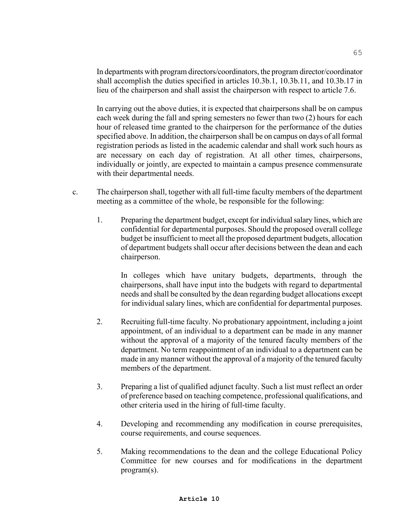In departments with program directors/coordinators, the program director/coordinator shall accomplish the duties specified in articles 10.3b.1, 10.3b.11, and 10.3b.17 in lieu of the chairperson and shall assist the chairperson with respect to article 7.6.

In carrying out the above duties, it is expected that chairpersons shall be on campus each week during the fall and spring semesters no fewer than two (2) hours for each hour of released time granted to the chairperson for the performance of the duties specified above. In addition, the chairperson shall be on campus on days of all formal registration periods as listed in the academic calendar and shall work such hours as are necessary on each day of registration. At all other times, chairpersons, individually or jointly, are expected to maintain a campus presence commensurate with their departmental needs.

- c. The chairperson shall, together with all full-time faculty members of the department meeting as a committee of the whole, be responsible for the following:
	- 1. Preparing the department budget, except for individual salary lines, which are confidential for departmental purposes. Should the proposed overall college budget be insufficient to meet all the proposed department budgets, allocation of department budgets shall occur after decisions between the dean and each chairperson.

In colleges which have unitary budgets, departments, through the chairpersons, shall have input into the budgets with regard to departmental needs and shall be consulted by the dean regarding budget allocations except for individual salary lines, which are confidential for departmental purposes.

- 2. Recruiting full-time faculty. No probationary appointment, including a joint appointment, of an individual to a department can be made in any manner without the approval of a majority of the tenured faculty members of the department. No term reappointment of an individual to a department can be made in any manner without the approval of a majority of the tenured faculty members of the department.
- 3. Preparing a list of qualified adjunct faculty. Such a list must reflect an order of preference based on teaching competence, professional qualifications, and other criteria used in the hiring of full-time faculty.
- 4. Developing and recommending any modification in course prerequisites, course requirements, and course sequences.
- 5. Making recommendations to the dean and the college Educational Policy Committee for new courses and for modifications in the department program(s).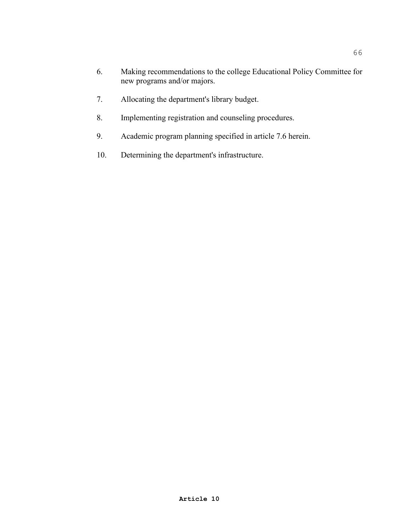- 6. Making recommendations to the college Educational Policy Committee for new programs and/or majors.
- 7. Allocating the department's library budget.
- 8. Implementing registration and counseling procedures.
- 9. Academic program planning specified in article 7.6 herein.
- 10. Determining the department's infrastructure.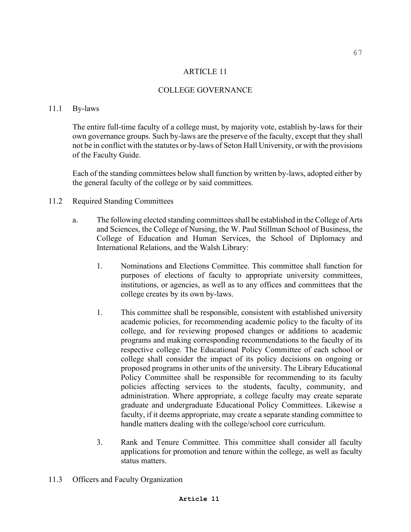### COLLEGE GOVERNANCE

### 11.1 By-laws

The entire full-time faculty of a college must, by majority vote, establish by-laws for their own governance groups. Such by-laws are the preserve of the faculty, except that they shall not be in conflict with the statutes or by-laws of Seton Hall University, or with the provisions of the Faculty Guide.

 Each of the standing committees below shall function by written by-laws, adopted either by the general faculty of the college or by said committees.

### 11.2 Required Standing Committees

- a. The following elected standing committees shall be established in the College of Arts and Sciences, the College of Nursing, the W. Paul Stillman School of Business, the College of Education and Human Services, the School of Diplomacy and International Relations, and the Walsh Library:
	- 1. Nominations and Elections Committee. This committee shall function for purposes of elections of faculty to appropriate university committees, institutions, or agencies, as well as to any offices and committees that the college creates by its own by-laws.
	- 1. This committee shall be responsible, consistent with established university academic policies, for recommending academic policy to the faculty of its college, and for reviewing proposed changes or additions to academic programs and making corresponding recommendations to the faculty of its respective college. The Educational Policy Committee of each school or college shall consider the impact of its policy decisions on ongoing or proposed programs in other units of the university. The Library Educational Policy Committee shall be responsible for recommending to its faculty policies affecting services to the students, faculty, community, and administration. Where appropriate, a college faculty may create separate graduate and undergraduate Educational Policy Committees. Likewise a faculty, if it deems appropriate, may create a separate standing committee to handle matters dealing with the college/school core curriculum.
	- 3. Rank and Tenure Committee. This committee shall consider all faculty applications for promotion and tenure within the college, as well as faculty status matters.
- 11.3 Officers and Faculty Organization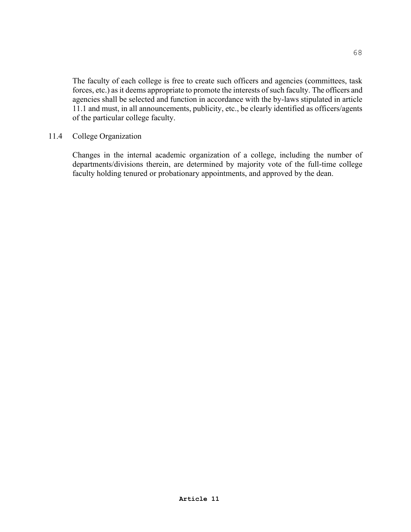The faculty of each college is free to create such officers and agencies (committees, task forces, etc.) as it deems appropriate to promote the interests of such faculty. The officers and agencies shall be selected and function in accordance with the by-laws stipulated in article 11.1 and must, in all announcements, publicity, etc., be clearly identified as officers/agents of the particular college faculty.

### 11.4 College Organization

Changes in the internal academic organization of a college, including the number of departments/divisions therein, are determined by majority vote of the full-time college faculty holding tenured or probationary appointments, and approved by the dean.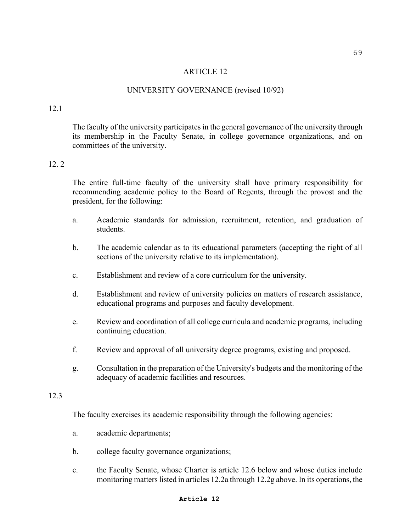### UNIVERSITY GOVERNANCE (revised 10/92)

### 12.1

The faculty of the university participates in the general governance of the university through its membership in the Faculty Senate, in college governance organizations, and on committees of the university.

# 12. 2

The entire full-time faculty of the university shall have primary responsibility for recommending academic policy to the Board of Regents, through the provost and the president, for the following:

- a. Academic standards for admission, recruitment, retention, and graduation of students.
- b. The academic calendar as to its educational parameters (accepting the right of all sections of the university relative to its implementation).
- c. Establishment and review of a core curriculum for the university.
- d. Establishment and review of university policies on matters of research assistance, educational programs and purposes and faculty development.
- e. Review and coordination of all college curricula and academic programs, including continuing education.
- f. Review and approval of all university degree programs, existing and proposed.
- g. Consultation in the preparation of the University's budgets and the monitoring of the adequacy of academic facilities and resources.

# 12.3

The faculty exercises its academic responsibility through the following agencies:

- a. academic departments;
- b. college faculty governance organizations;
- c. the Faculty Senate, whose Charter is article 12.6 below and whose duties include monitoring matters listed in articles 12.2a through 12.2g above. In its operations, the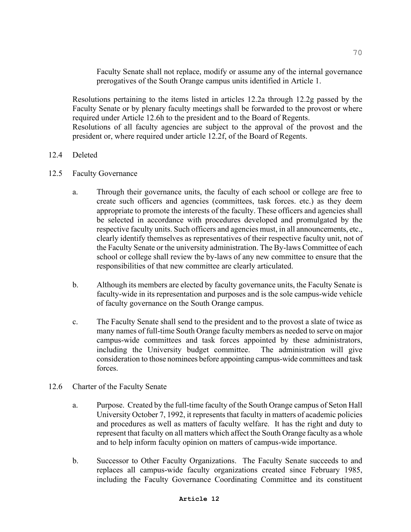Faculty Senate shall not replace, modify or assume any of the internal governance prerogatives of the South Orange campus units identified in Article 1.

Resolutions pertaining to the items listed in articles 12.2a through 12.2g passed by the Faculty Senate or by plenary faculty meetings shall be forwarded to the provost or where required under Article 12.6h to the president and to the Board of Regents.

Resolutions of all faculty agencies are subject to the approval of the provost and the president or, where required under article 12.2f, of the Board of Regents.

# 12.4 Deleted

- 12.5 Faculty Governance
	- a. Through their governance units, the faculty of each school or college are free to create such officers and agencies (committees, task forces. etc.) as they deem appropriate to promote the interests of the faculty. These officers and agencies shall be selected in accordance with procedures developed and promulgated by the respective faculty units. Such officers and agencies must, in all announcements, etc., clearly identify themselves as representatives of their respective faculty unit, not of the Faculty Senate or the university administration. The By-laws Committee of each school or college shall review the by-laws of any new committee to ensure that the responsibilities of that new committee are clearly articulated.
	- b. Although its members are elected by faculty governance units, the Faculty Senate is faculty-wide in its representation and purposes and is the sole campus-wide vehicle of faculty governance on the South Orange campus.
	- c. The Faculty Senate shall send to the president and to the provost a slate of twice as many names of full-time South Orange faculty members as needed to serve on major campus-wide committees and task forces appointed by these administrators, including the University budget committee. The administration will give consideration to those nominees before appointing campus-wide committees and task forces.
- 12.6 Charter of the Faculty Senate
	- a. Purpose. Created by the full-time faculty of the South Orange campus of Seton Hall University October 7, 1992, it represents that faculty in matters of academic policies and procedures as well as matters of faculty welfare. It has the right and duty to represent that faculty on all matters which affect the South Orange faculty as a whole and to help inform faculty opinion on matters of campus-wide importance.
	- b. Successor to Other Faculty Organizations. The Faculty Senate succeeds to and replaces all campus-wide faculty organizations created since February 1985, including the Faculty Governance Coordinating Committee and its constituent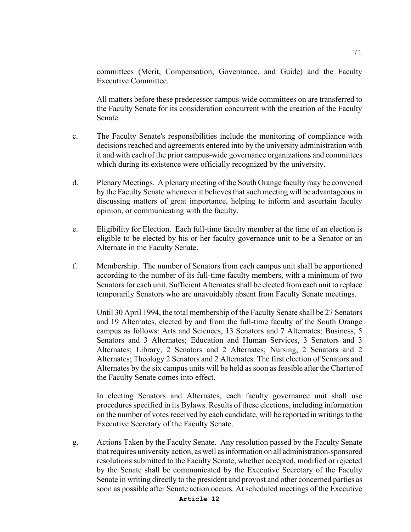committees (Merit, Compensation, Governance, and Guide) and the Faculty Executive Committee.

All matters before these predecessor campus-wide committees on are transferred to the Faculty Senate for its consideration concurrent with the creation of the Faculty Senate.

- c. The Faculty Senate's responsibilities include the monitoring of compliance with decisions reached and agreements entered into by the university administration with it and with each of the prior campus-wide governance organizations and committees which during its existence were officially recognized by the university.
- d. Plenary Meetings. A plenary meeting of the South Orange faculty may be convened by the Faculty Senate whenever it believes that such meeting will be advantageous in discussing matters of great importance, helping to inform and ascertain faculty opinion, or communicating with the faculty.
- e. Eligibility for Election. Each full-time faculty member at the time of an election is eligible to be elected by his or her faculty governance unit to be a Senator or an Alternate in the Faculty Senate.
- f. Membership. The number of Senators from each campus unit shall be apportioned according to the number of its full-time faculty members, with a minimum of two Senators for each unit. Sufficient Alternates shall be elected from each unit to replace temporarily Senators who are unavoidably absent from Faculty Senate meetings.

Until 30 April 1994, the total membership of the Faculty Senate shall be 27 Senators and 19 Alternates, elected by and from the full-time faculty of the South Orange campus as follows: Arts and Sciences, 13 Senators and 7 Alternates; Business, 5 Senators and 3 Alternates; Education and Human Services, 3 Senators and 3 Alternates; Library, 2 Senators and 2 Alternates; Nursing, 2 Senators and 2 Alternates; Theology 2 Senators and 2 Alternates. The first election of Senators and Alternates by the six campus units will be held as soon as feasible after the Charter of the Faculty Senate comes into effect.

In electing Senators and Alternates, each faculty governance unit shall use procedures specified in its Bylaws. Results of these elections, including information on the number of votes received by each candidate, will be reported in writings to the Executive Secretary of the Faculty Senate.

g. Actions Taken by the Faculty Senate. Any resolution passed by the Faculty Senate that requires university action, as well as information on all administration-sponsored resolutions submitted to the Faculty Senate, whether accepted, modified or rejected by the Senate shall be communicated by the Executive Secretary of the Faculty Senate in writing directly to the president and provost and other concerned parties as soon as possible after Senate action occurs. At scheduled meetings of the Executive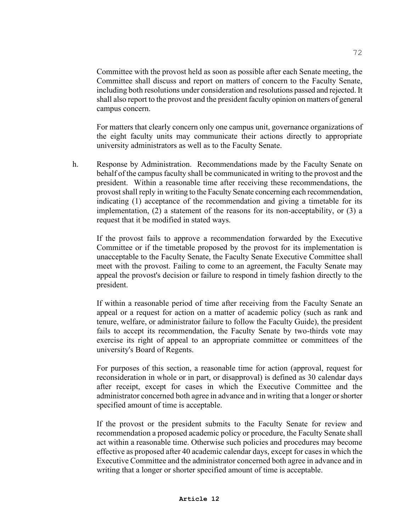Committee with the provost held as soon as possible after each Senate meeting, the Committee shall discuss and report on matters of concern to the Faculty Senate, including both resolutions under consideration and resolutions passed and rejected. It shall also report to the provost and the president faculty opinion on matters of general campus concern.

For matters that clearly concern only one campus unit, governance organizations of the eight faculty units may communicate their actions directly to appropriate university administrators as well as to the Faculty Senate.

h. Response by Administration. Recommendations made by the Faculty Senate on behalf of the campus faculty shall be communicated in writing to the provost and the president. Within a reasonable time after receiving these recommendations, the provost shall reply in writing to the Faculty Senate concerning each recommendation, indicating (1) acceptance of the recommendation and giving a timetable for its implementation, (2) a statement of the reasons for its non-acceptability, or (3) a request that it be modified in stated ways.

If the provost fails to approve a recommendation forwarded by the Executive Committee or if the timetable proposed by the provost for its implementation is unacceptable to the Faculty Senate, the Faculty Senate Executive Committee shall meet with the provost. Failing to come to an agreement, the Faculty Senate may appeal the provost's decision or failure to respond in timely fashion directly to the president.

If within a reasonable period of time after receiving from the Faculty Senate an appeal or a request for action on a matter of academic policy (such as rank and tenure, welfare, or administrator failure to follow the Faculty Guide), the president fails to accept its recommendation, the Faculty Senate by two-thirds vote may exercise its right of appeal to an appropriate committee or committees of the university's Board of Regents.

For purposes of this section, a reasonable time for action (approval, request for reconsideration in whole or in part, or disapproval) is defined as 30 calendar days after receipt, except for cases in which the Executive Committee and the administrator concerned both agree in advance and in writing that a longer or shorter specified amount of time is acceptable.

If the provost or the president submits to the Faculty Senate for review and recommendation a proposed academic policy or procedure, the Faculty Senate shall act within a reasonable time. Otherwise such policies and procedures may become effective as proposed after 40 academic calendar days, except for cases in which the Executive Committee and the administrator concerned both agree in advance and in writing that a longer or shorter specified amount of time is acceptable.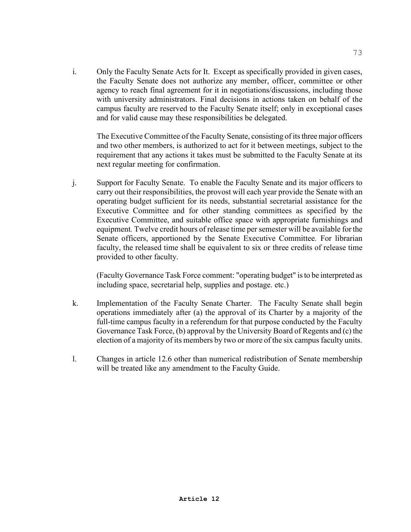i. Only the Faculty Senate Acts for It. Except as specifically provided in given cases, the Faculty Senate does not authorize any member, officer, committee or other agency to reach final agreement for it in negotiations/discussions, including those with university administrators. Final decisions in actions taken on behalf of the campus faculty are reserved to the Faculty Senate itself; only in exceptional cases and for valid cause may these responsibilities be delegated.

The Executive Committee of the Faculty Senate, consisting of its three major officers and two other members, is authorized to act for it between meetings, subject to the requirement that any actions it takes must be submitted to the Faculty Senate at its next regular meeting for confirmation.

j. Support for Faculty Senate. To enable the Faculty Senate and its major officers to carry out their responsibilities, the provost will each year provide the Senate with an operating budget sufficient for its needs, substantial secretarial assistance for the Executive Committee and for other standing committees as specified by the Executive Committee, and suitable office space with appropriate furnishings and equipment*.* Twelve credit hours of release time per semester will be available for the Senate officers, apportioned by the Senate Executive Committee*.* For librarian faculty, the released time shall be equivalent to six or three credits of release time provided to other faculty.

(Faculty Governance Task Force comment: "operating budget" is to be interpreted as including space, secretarial help, supplies and postage. etc.)

- k. Implementation of the Faculty Senate Charter. The Faculty Senate shall begin operations immediately after (a) the approval of its Charter by a majority of the full-time campus faculty in a referendum for that purpose conducted by the Faculty Governance Task Force, (b) approval by the University Board of Regents and (c) the election of a majority of its members by two or more of the six campus faculty units.
- l. Changes in article 12.6 other than numerical redistribution of Senate membership will be treated like any amendment to the Faculty Guide.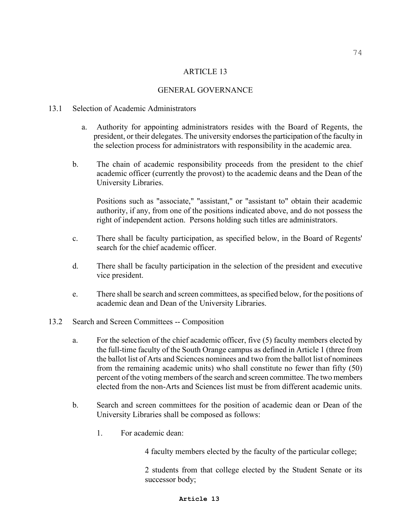### GENERAL GOVERNANCE

#### 13.1 Selection of Academic Administrators

- a. Authority for appointing administrators resides with the Board of Regents, the president, or their delegates. The university endorses the participation of the faculty in the selection process for administrators with responsibility in the academic area.
- b. The chain of academic responsibility proceeds from the president to the chief academic officer (currently the provost) to the academic deans and the Dean of the University Libraries.

Positions such as "associate," "assistant," or "assistant to" obtain their academic authority, if any, from one of the positions indicated above, and do not possess the right of independent action. Persons holding such titles are administrators.

- c. There shall be faculty participation, as specified below, in the Board of Regents' search for the chief academic officer.
- d. There shall be faculty participation in the selection of the president and executive vice president.
- e. There shall be search and screen committees, as specified below, for the positions of academic dean and Dean of the University Libraries.
- 13.2 Search and Screen Committees -- Composition
	- a. For the selection of the chief academic officer, five (5) faculty members elected by the full-time faculty of the South Orange campus as defined in Article 1 (three from the ballot list of Arts and Sciences nominees and two from the ballot list of nominees from the remaining academic units) who shall constitute no fewer than fifty (50) percent of the voting members of the search and screen committee. The two members elected from the non-Arts and Sciences list must be from different academic units.
	- b. Search and screen committees for the position of academic dean or Dean of the University Libraries shall be composed as follows:
		- 1. For academic dean:

4 faculty members elected by the faculty of the particular college;

2 students from that college elected by the Student Senate or its successor body;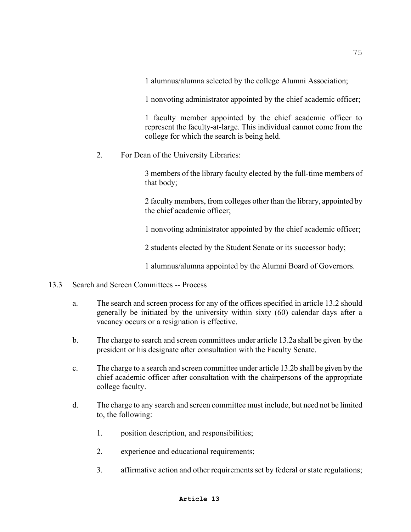1 alumnus/alumna selected by the college Alumni Association;

1 nonvoting administrator appointed by the chief academic officer;

1 faculty member appointed by the chief academic officer to represent the faculty-at-large. This individual cannot come from the college for which the search is being held.

2. For Dean of the University Libraries:

3 members of the library faculty elected by the full-time members of that body;

2 faculty members, from colleges other than the library, appointed by the chief academic officer;

1 nonvoting administrator appointed by the chief academic officer;

2 students elected by the Student Senate or its successor body;

1 alumnus/alumna appointed by the Alumni Board of Governors.

- 13.3 Search and Screen Committees -- Process
	- a. The search and screen process for any of the offices specified in article 13.2 should generally be initiated by the university within sixty (60) calendar days after a vacancy occurs or a resignation is effective.
	- b. The charge to search and screen committees under article 13.2a shall be given by the president or his designate after consultation with the Faculty Senate.
	- c. The charge to a search and screen committee under article 13.2b shall be given by the chief academic officer after consultation with the chairperson**s** of the appropriate college faculty.
	- d. The charge to any search and screen committee must include, but need not be limited to, the following:
		- 1. position description, and responsibilities;
		- 2. experience and educational requirements;
		- 3. affirmative action and other requirements set by federal or state regulations;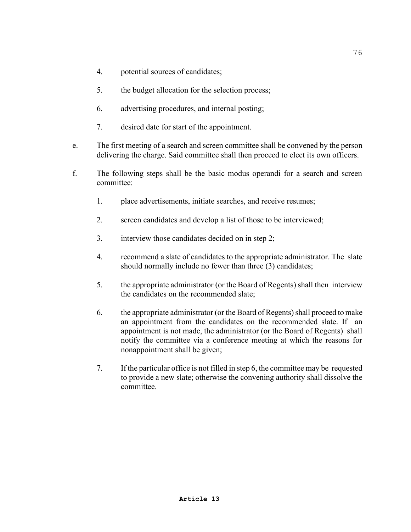- 4. potential sources of candidates;
- 5. the budget allocation for the selection process;
- 6. advertising procedures, and internal posting;
- 7. desired date for start of the appointment.
- e. The first meeting of a search and screen committee shall be convened by the person delivering the charge. Said committee shall then proceed to elect its own officers.
- f. The following steps shall be the basic modus operandi for a search and screen committee:
	- 1. place advertisements, initiate searches, and receive resumes;
	- 2. screen candidates and develop a list of those to be interviewed;
	- 3. interview those candidates decided on in step 2;
	- 4. recommend a slate of candidates to the appropriate administrator. The slate should normally include no fewer than three (3) candidates;
	- 5. the appropriate administrator (or the Board of Regents) shall then interview the candidates on the recommended slate;
	- 6. the appropriate administrator (or the Board of Regents) shall proceed to make an appointment from the candidates on the recommended slate. If an appointment is not made, the administrator (or the Board of Regents) shall notify the committee via a conference meeting at which the reasons for nonappointment shall be given;
	- 7. If the particular office is not filled in step 6, the committee may be requested to provide a new slate; otherwise the convening authority shall dissolve the committee.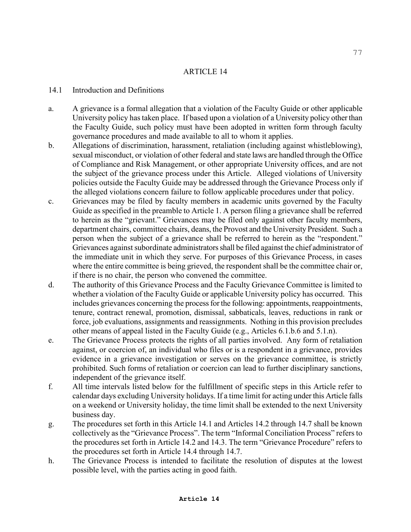### 14.1 Introduction and Definitions

- a. A grievance is a formal allegation that a violation of the Faculty Guide or other applicable University policy has taken place. If based upon a violation of a University policy other than the Faculty Guide, such policy must have been adopted in written form through faculty governance procedures and made available to all to whom it applies.
- b. Allegations of discrimination, harassment, retaliation (including against whistleblowing), sexual misconduct, or violation of other federal and state laws are handled through the Office of Compliance and Risk Management, or other appropriate University offices, and are not the subject of the grievance process under this Article. Alleged violations of University policies outside the Faculty Guide may be addressed through the Grievance Process only if the alleged violations concern failure to follow applicable procedures under that policy.
- c. Grievances may be filed by faculty members in academic units governed by the Faculty Guide as specified in the preamble to Article 1. A person filing a grievance shall be referred to herein as the "grievant." Grievances may be filed only against other faculty members, department chairs, committee chairs, deans, the Provost and the University President. Such a person when the subject of a grievance shall be referred to herein as the "respondent." Grievances against subordinate administrators shall be filed against the chief administrator of the immediate unit in which they serve. For purposes of this Grievance Process, in cases where the entire committee is being grieved, the respondent shall be the committee chair or, if there is no chair, the person who convened the committee.
- d. The authority of this Grievance Process and the Faculty Grievance Committee is limited to whether a violation of the Faculty Guide or applicable University policy has occurred. This includes grievances concerning the process for the following: appointments, reappointments, tenure, contract renewal, promotion, dismissal, sabbaticals, leaves, reductions in rank or force, job evaluations, assignments and reassignments. Nothing in this provision precludes other means of appeal listed in the Faculty Guide (e.g., Articles 6.1.b.6 and 5.1.n).
- e. The Grievance Process protects the rights of all parties involved. Any form of retaliation against, or coercion of, an individual who files or is a respondent in a grievance, provides evidence in a grievance investigation or serves on the grievance committee, is strictly prohibited. Such forms of retaliation or coercion can lead to further disciplinary sanctions, independent of the grievance itself.
- f. All time intervals listed below for the fulfillment of specific steps in this Article refer to calendar days excluding University holidays. If a time limit for acting under this Article falls on a weekend or University holiday, the time limit shall be extended to the next University business day.
- g. The procedures set forth in this Article 14.1 and Articles 14.2 through 14.7 shall be known collectively as the "Grievance Process". The term "Informal Conciliation Process" refers to the procedures set forth in Article 14.2 and 14.3. The term "Grievance Procedure" refers to the procedures set forth in Article 14.4 through 14.7.
- h. The Grievance Process is intended to facilitate the resolution of disputes at the lowest possible level, with the parties acting in good faith.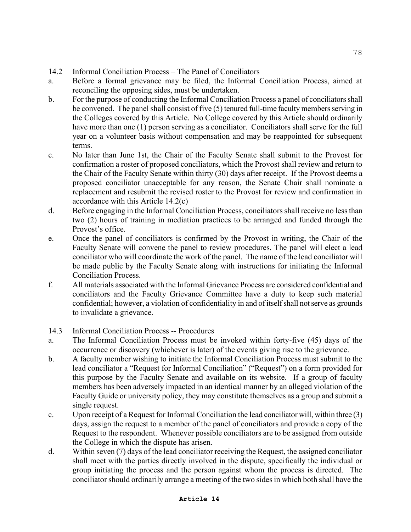- 14.2 Informal Conciliation Process The Panel of Conciliators
- a. Before a formal grievance may be filed, the Informal Conciliation Process, aimed at reconciling the opposing sides, must be undertaken.
- b. For the purpose of conducting the Informal Conciliation Process a panel of conciliators shall be convened. The panel shall consist of five (5) tenured full-time faculty members serving in the Colleges covered by this Article. No College covered by this Article should ordinarily have more than one (1) person serving as a conciliator. Conciliators shall serve for the full year on a volunteer basis without compensation and may be reappointed for subsequent terms.
- c. No later than June 1st, the Chair of the Faculty Senate shall submit to the Provost for confirmation a roster of proposed conciliators, which the Provost shall review and return to the Chair of the Faculty Senate within thirty (30) days after receipt. If the Provost deems a proposed conciliator unacceptable for any reason, the Senate Chair shall nominate a replacement and resubmit the revised roster to the Provost for review and confirmation in accordance with this Article 14.2(c)
- d. Before engaging in the Informal Conciliation Process, conciliators shall receive no less than two (2) hours of training in mediation practices to be arranged and funded through the Provost's office.
- e. Once the panel of conciliators is confirmed by the Provost in writing, the Chair of the Faculty Senate will convene the panel to review procedures. The panel will elect a lead conciliator who will coordinate the work of the panel. The name of the lead conciliator will be made public by the Faculty Senate along with instructions for initiating the Informal Conciliation Process.
- f. All materials associated with the Informal Grievance Process are considered confidential and conciliators and the Faculty Grievance Committee have a duty to keep such material confidential; however, a violation of confidentiality in and of itself shall not serve as grounds to invalidate a grievance.
- 14.3 Informal Conciliation Process -- Procedures
- a. The Informal Conciliation Process must be invoked within forty-five (45) days of the occurrence or discovery (whichever is later) of the events giving rise to the grievance.
- b. A faculty member wishing to initiate the Informal Conciliation Process must submit to the lead conciliator a "Request for Informal Conciliation" ("Request") on a form provided for this purpose by the Faculty Senate and available on its website. If a group of faculty members has been adversely impacted in an identical manner by an alleged violation of the Faculty Guide or university policy, they may constitute themselves as a group and submit a single request.
- c. Upon receipt of a Request for Informal Conciliation the lead conciliator will, within three (3) days, assign the request to a member of the panel of conciliators and provide a copy of the Request to the respondent. Whenever possible conciliators are to be assigned from outside the College in which the dispute has arisen.
- d. Within seven (7) days of the lead conciliator receiving the Request, the assigned conciliator shall meet with the parties directly involved in the dispute, specifically the individual or group initiating the process and the person against whom the process is directed. The conciliator should ordinarily arrange a meeting of the two sides in which both shall have the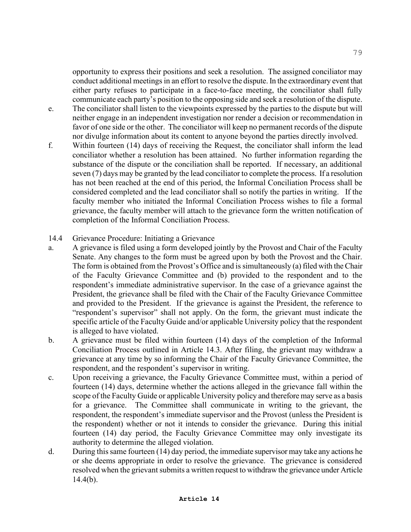opportunity to express their positions and seek a resolution. The assigned conciliator may conduct additional meetings in an effort to resolve the dispute. In the extraordinary event that either party refuses to participate in a face-to-face meeting, the conciliator shall fully communicate each party's position to the opposing side and seek a resolution of the dispute.

- e. The conciliator shall listen to the viewpoints expressed by the parties to the dispute but will neither engage in an independent investigation nor render a decision or recommendation in favor of one side or the other. The conciliator will keep no permanent records of the dispute nor divulge information about its content to anyone beyond the parties directly involved.
- f. Within fourteen (14) days of receiving the Request, the conciliator shall inform the lead conciliator whether a resolution has been attained. No further information regarding the substance of the dispute or the conciliation shall be reported. If necessary, an additional seven (7) days may be granted by the lead conciliator to complete the process. If a resolution has not been reached at the end of this period, the Informal Conciliation Process shall be considered completed and the lead conciliator shall so notify the parties in writing. If the faculty member who initiated the Informal Conciliation Process wishes to file a formal grievance, the faculty member will attach to the grievance form the written notification of completion of the Informal Conciliation Process.
- 14.4 Grievance Procedure: Initiating a Grievance
- a. A grievance is filed using a form developed jointly by the Provost and Chair of the Faculty Senate. Any changes to the form must be agreed upon by both the Provost and the Chair. The form is obtained from the Provost's Office and is simultaneously (a) filed with the Chair of the Faculty Grievance Committee and (b) provided to the respondent and to the respondent's immediate administrative supervisor. In the case of a grievance against the President, the grievance shall be filed with the Chair of the Faculty Grievance Committee and provided to the President. If the grievance is against the President, the reference to "respondent's supervisor" shall not apply. On the form, the grievant must indicate the specific article of the Faculty Guide and/or applicable University policy that the respondent is alleged to have violated.
- b. A grievance must be filed within fourteen (14) days of the completion of the Informal Conciliation Process outlined in Article 14.3. After filing, the grievant may withdraw a grievance at any time by so informing the Chair of the Faculty Grievance Committee, the respondent, and the respondent's supervisor in writing.
- c. Upon receiving a grievance, the Faculty Grievance Committee must, within a period of fourteen (14) days, determine whether the actions alleged in the grievance fall within the scope of the Faculty Guide or applicable University policy and therefore may serve as a basis for a grievance. The Committee shall communicate in writing to the grievant, the respondent, the respondent's immediate supervisor and the Provost (unless the President is the respondent) whether or not it intends to consider the grievance. During this initial fourteen (14) day period, the Faculty Grievance Committee may only investigate its authority to determine the alleged violation.
- d. During this same fourteen (14) day period, the immediate supervisor may take any actions he or she deems appropriate in order to resolve the grievance. The grievance is considered resolved when the grievant submits a written request to withdraw the grievance under Article  $14.4(b)$ .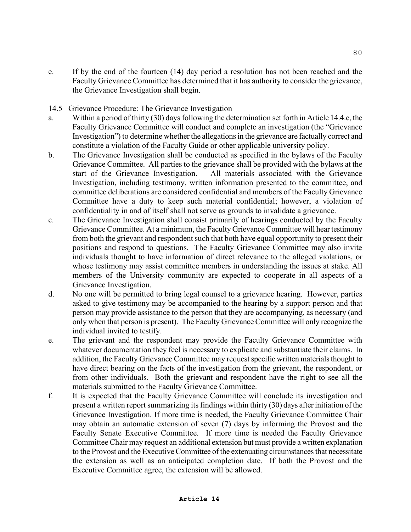- e. If by the end of the fourteen (14) day period a resolution has not been reached and the Faculty Grievance Committee has determined that it has authority to consider the grievance, the Grievance Investigation shall begin.
- 14.5 Grievance Procedure: The Grievance Investigation
- a. Within a period of thirty (30) days following the determination set forth in Article 14.4.e, the Faculty Grievance Committee will conduct and complete an investigation (the "Grievance" Investigation<sup>"</sup>) to determine whether the allegations in the grievance are factually correct and constitute a violation of the Faculty Guide or other applicable university policy.
- b. The Grievance Investigation shall be conducted as specified in the bylaws of the Faculty Grievance Committee. All parties to the grievance shall be provided with the bylaws at the start of the Grievance Investigation. All materials associated with the Grievance Investigation, including testimony, written information presented to the committee, and committee deliberations are considered confidential and members of the Faculty Grievance Committee have a duty to keep such material confidential; however, a violation of confidentiality in and of itself shall not serve as grounds to invalidate a grievance.
- c. The Grievance Investigation shall consist primarily of hearings conducted by the Faculty Grievance Committee. At a minimum, the Faculty Grievance Committee will hear testimony from both the grievant and respondent such that both have equal opportunity to present their positions and respond to questions. The Faculty Grievance Committee may also invite individuals thought to have information of direct relevance to the alleged violations, or whose testimony may assist committee members in understanding the issues at stake. All members of the University community are expected to cooperate in all aspects of a Grievance Investigation.
- d. No one will be permitted to bring legal counsel to a grievance hearing. However, parties asked to give testimony may be accompanied to the hearing by a support person and that person may provide assistance to the person that they are accompanying, as necessary (and only when that person is present). The Faculty Grievance Committee will only recognize the individual invited to testify.
- e. The grievant and the respondent may provide the Faculty Grievance Committee with whatever documentation they feel is necessary to explicate and substantiate their claims. In addition, the Faculty Grievance Committee may request specific written materials thought to have direct bearing on the facts of the investigation from the grievant, the respondent, or from other individuals. Both the grievant and respondent have the right to see all the materials submitted to the Faculty Grievance Committee.
- f. It is expected that the Faculty Grievance Committee will conclude its investigation and present a written report summarizing its findings within thirty (30) days after initiation of the Grievance Investigation. If more time is needed, the Faculty Grievance Committee Chair may obtain an automatic extension of seven (7) days by informing the Provost and the Faculty Senate Executive Committee. If more time is needed the Faculty Grievance Committee Chair may request an additional extension but must provide a written explanation to the Provost and the Executive Committee of the extenuating circumstances that necessitate the extension as well as an anticipated completion date. If both the Provost and the Executive Committee agree, the extension will be allowed.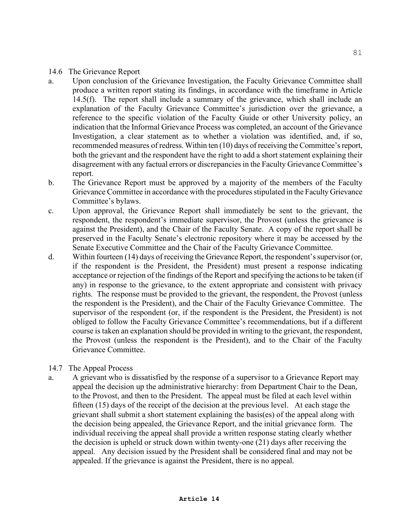#### 14.6 The Grievance Report

- a. Upon conclusion of the Grievance Investigation, the Faculty Grievance Committee shall produce a written report stating its findings, in accordance with the timeframe in Article 14.5(f). The report shall include a summary of the grievance, which shall include an explanation of the Faculty Grievance Committee's jurisdiction over the grievance, a reference to the specific violation of the Faculty Guide or other University policy, an indication that the Informal Grievance Process was completed, an account of the Grievance Investigation, a clear statement as to whether a violation was identified, and, if so, recommended measures of redress. Within ten (10) days of receiving the Committee's report, both the grievant and the respondent have the right to add a short statement explaining their disagreement with any factual errors or discrepancies in the Faculty Grievance Committee's report.
- b. The Grievance Report must be approved by a majority of the members of the Faculty Grievance Committee in accordance with the procedures stipulated in the Faculty Grievance Committee's bylaws.
- c. Upon approval, the Grievance Report shall immediately be sent to the grievant, the respondent, the respondent's immediate supervisor, the Provost (unless the grievance is against the President), and the Chair of the Faculty Senate. A copy of the report shall be preserved in the Faculty Senate's electronic repository where it may be accessed by the Senate Executive Committee and the Chair of the Faculty Grievance Committee.
- d. Within fourteen (14) days of receiving the Grievance Report, the respondent's supervisor (or, if the respondent is the President, the President) must present a response indicating acceptance or rejection of the findings of the Report and specifying the actions to be taken (if any) in response to the grievance, to the extent appropriate and consistent with privacy rights. The response must be provided to the grievant, the respondent, the Provost (unless the respondent is the President), and the Chair of the Faculty Grievance Committee. The supervisor of the respondent (or, if the respondent is the President, the President) is not obliged to follow the Faculty Grievance Committee's recommendations, but if a different course is taken an explanation should be provided in writing to the grievant, the respondent, the Provost (unless the respondent is the President), and to the Chair of the Faculty Grievance Committee.

### 14.7 The Appeal Process

a. A grievant who is dissatisfied by the response of a supervisor to a Grievance Report may appeal the decision up the administrative hierarchy: from Department Chair to the Dean, to the Provost, and then to the President. The appeal must be filed at each level within fifteen (15) days of the receipt of the decision at the previous level. At each stage the grievant shall submit a short statement explaining the basis(es) of the appeal along with the decision being appealed, the Grievance Report, and the initial grievance form. The individual receiving the appeal shall provide a written response stating clearly whether the decision is upheld or struck down within twenty-one (21) days after receiving the appeal. Any decision issued by the President shall be considered final and may not be appealed. If the grievance is against the President, there is no appeal.